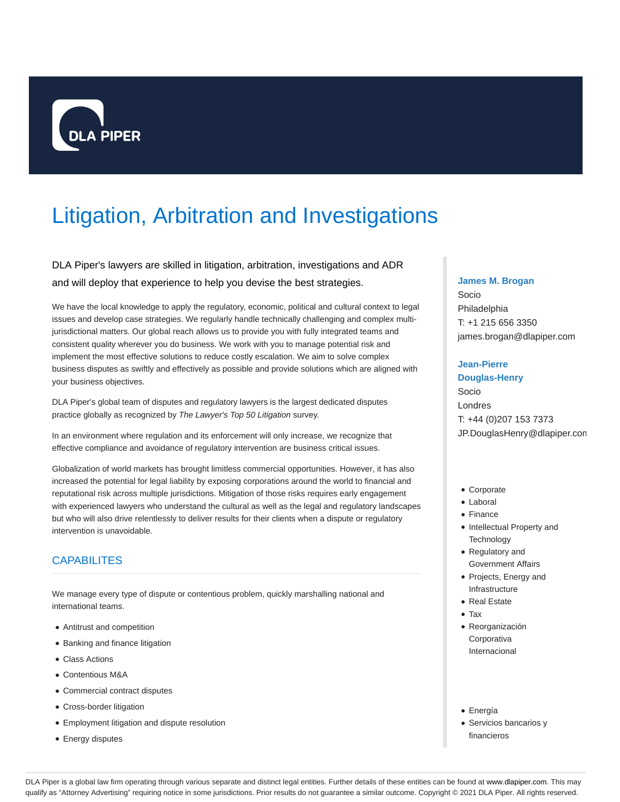

# Litigation, Arbitration and Investigations

# DLA Piper's lawyers are skilled in litigation, arbitration, investigations and ADR and will deploy that experience to help you devise the best strategies.

We have the local knowledge to apply the regulatory, economic, political and cultural context to legal issues and develop case strategies. We regularly handle technically challenging and complex multijurisdictional matters. Our global reach allows us to provide you with fully integrated teams and consistent quality wherever you do business. We work with you to manage potential risk and implement the most effective solutions to reduce costly escalation. We aim to solve complex business disputes as swiftly and effectively as possible and provide solutions which are aligned with your business objectives.

DLA Piper's global team of disputes and regulatory lawyers is the largest dedicated disputes practice globally as recognized by The Lawyer's Top 50 Litigation survey.

In an environment where regulation and its enforcement will only increase, we recognize that effective compliance and avoidance of regulatory intervention are business critical issues.

Globalization of world markets has brought limitless commercial opportunities. However, it has also increased the potential for legal liability by exposing corporations around the world to financial and reputational risk across multiple jurisdictions. Mitigation of those risks requires early engagement with experienced lawyers who understand the cultural as well as the legal and regulatory landscapes but who will also drive relentlessly to deliver results for their clients when a dispute or regulatory intervention is unavoidable.

# **CAPABILITES**

We manage every type of dispute or contentious problem, quickly marshalling national and international teams.

- Antitrust and competition
- Banking and finance litigation
- Class Actions
- Contentious M&A
- Commercial contract disputes
- Cross-border litigation
- Employment litigation and dispute resolution
- **Energy disputes**

# **James M. Brogan**

Socio Philadelphia T: +1 215 656 3350 james.brogan@dlapiper.com

# **Jean-Pierre**

**Douglas-Henry** Socio Londres T: +44 (0)207 153 7373 JP.DouglasHenry@dlapiper.com

- Corporate
- Laboral
- Finance
- Intellectual Property and **Technology**
- Regulatory and Government Affairs
- Projects, Energy and Infrastructure
- Real Estate
- Tax
- Reorganización **Corporativa** Internacional
- Energía
- Servicios bancarios y financieros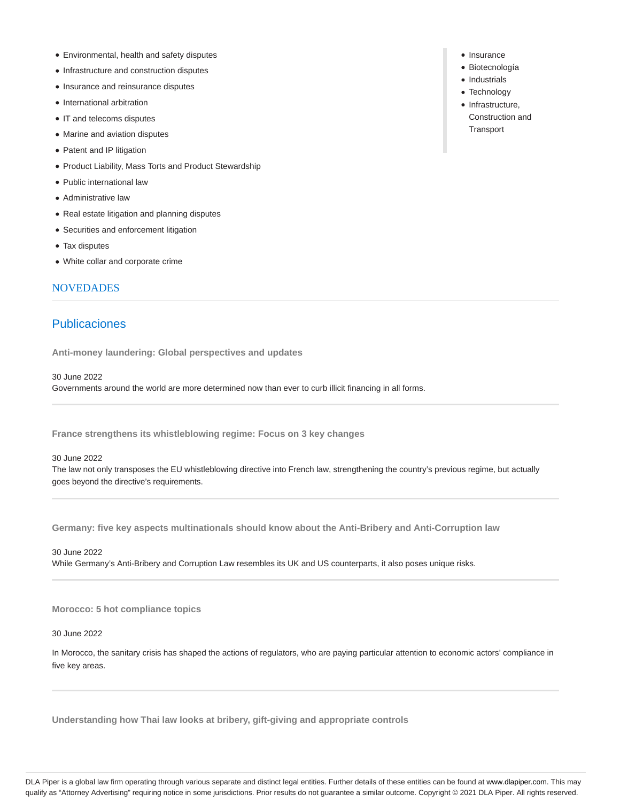- Environmental, health and safety disputes
- Infrastructure and construction disputes
- Insurance and reinsurance disputes
- International arbitration
- IT and telecoms disputes
- Marine and aviation disputes
- Patent and IP litigation
- Product Liability, Mass Torts and Product Stewardship
- Public international law
- Administrative law
- Real estate litigation and planning disputes
- Securities and enforcement litigation
- Tax disputes
- White collar and corporate crime

# NOVEDADES

# Publicaciones

**Anti-money laundering: Global perspectives and updates**

30 June 2022

Governments around the world are more determined now than ever to curb illicit financing in all forms.

**France strengthens its whistleblowing regime: Focus on 3 key changes**

# 30 June 2022

The law not only transposes the EU whistleblowing directive into French law, strengthening the country's previous regime, but actually goes beyond the directive's requirements.

**Germany: five key aspects multinationals should know about the Anti-Bribery and Anti-Corruption law**

30 June 2022

While Germany's Anti-Bribery and Corruption Law resembles its UK and US counterparts, it also poses unique risks.

**Morocco: 5 hot compliance topics**

30 June 2022

In Morocco, the sanitary crisis has shaped the actions of regulators, who are paying particular attention to economic actors' compliance in five key areas.

**Understanding how Thai law looks at bribery, gift-giving and appropriate controls**

- Insurance
- Biotecnología
- Industrials
- Technology
- Infrastructure, Construction and **Transport**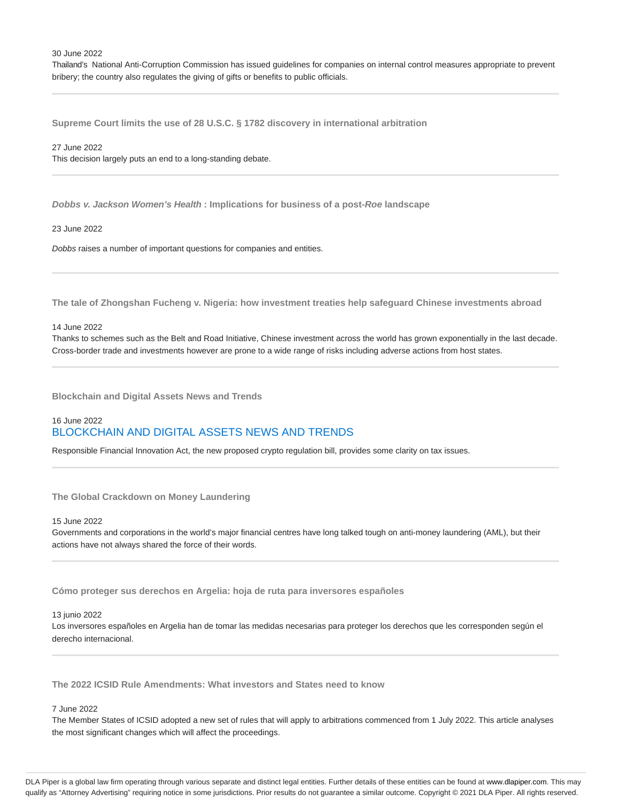Thailand's National Anti-Corruption Commission has issued guidelines for companies on internal control measures appropriate to prevent bribery; the country also regulates the giving of gifts or benefits to public officials.

**Supreme Court limits the use of 28 U.S.C. § 1782 discovery in international arbitration**

#### 27 June 2022

This decision largely puts an end to a long-standing debate.

**Dobbs v. Jackson Women's Health : Implications for business of a post-Roe landscape**

# 23 June 2022

Dobbs raises a number of important questions for companies and entities.

**The tale of Zhongshan Fucheng v. Nigeria: how investment treaties help safeguard Chinese investments abroad**

# 14 June 2022

Thanks to schemes such as the Belt and Road Initiative, Chinese investment across the world has grown exponentially in the last decade. Cross-border trade and investments however are prone to a wide range of risks including adverse actions from host states.

**Blockchain and Digital Assets News and Trends**

# 16 June 2022 BLOCKCHAIN AND DIGITAL ASSETS NEWS AND TRENDS

Responsible Financial Innovation Act, the new proposed crypto regulation bill, provides some clarity on tax issues.

# **The Global Crackdown on Money Laundering**

# 15 June 2022

Governments and corporations in the world's major financial centres have long talked tough on anti-money laundering (AML), but their actions have not always shared the force of their words.

**Cómo proteger sus derechos en Argelia: hoja de ruta para inversores españoles**

#### 13 junio 2022

Los inversores españoles en Argelia han de tomar las medidas necesarias para proteger los derechos que les corresponden según el derecho internacional.

# **The 2022 ICSID Rule Amendments: What investors and States need to know**

# 7 June 2022

The Member States of ICSID adopted a new set of rules that will apply to arbitrations commenced from 1 July 2022. This article analyses the most significant changes which will affect the proceedings.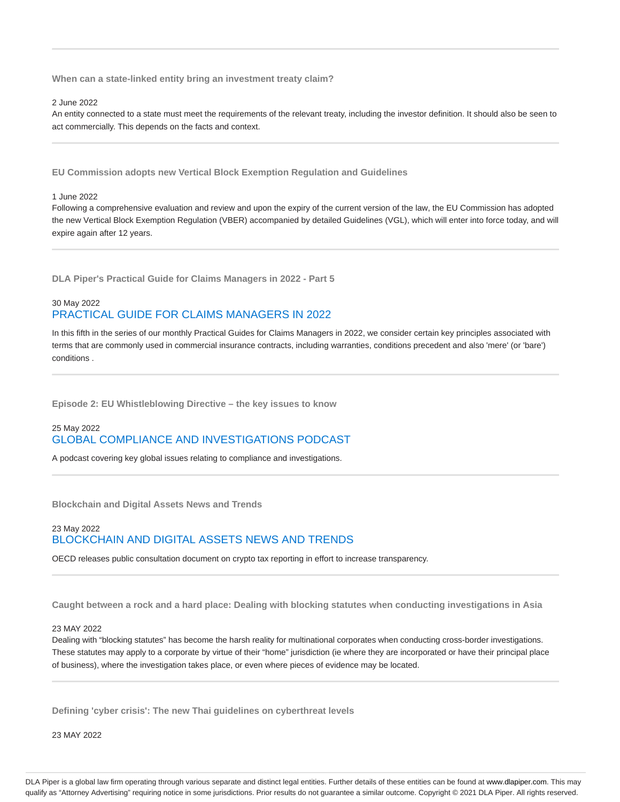**When can a state-linked entity bring an investment treaty claim?**

2 June 2022

An entity connected to a state must meet the requirements of the relevant treaty, including the investor definition. It should also be seen to act commercially. This depends on the facts and context.

**EU Commission adopts new Vertical Block Exemption Regulation and Guidelines**

1 June 2022

Following a comprehensive evaluation and review and upon the expiry of the current version of the law, the EU Commission has adopted the new Vertical Block Exemption Regulation (VBER) accompanied by detailed Guidelines (VGL), which will enter into force today, and will expire again after 12 years.

**DLA Piper's Practical Guide for Claims Managers in 2022 - Part 5**

# 30 May 2022 PRACTICAL GUIDE FOR CLAIMS MANAGERS IN 2022

In this fifth in the series of our monthly Practical Guides for Claims Managers in 2022, we consider certain key principles associated with terms that are commonly used in commercial insurance contracts, including warranties, conditions precedent and also 'mere' (or 'bare') conditions .

**Episode 2: EU Whistleblowing Directive – the key issues to know**

# 25 May 2022 GLOBAL COMPLIANCE AND INVESTIGATIONS PODCAST

A podcast covering key global issues relating to compliance and investigations.

**Blockchain and Digital Assets News and Trends**

# 23 May 2022 BLOCKCHAIN AND DIGITAL ASSETS NEWS AND TRENDS

OECD releases public consultation document on crypto tax reporting in effort to increase transparency.

**Caught between a rock and a hard place: Dealing with blocking statutes when conducting investigations in Asia**

# 23 MAY 2022

Dealing with "blocking statutes" has become the harsh reality for multinational corporates when conducting cross-border investigations. These statutes may apply to a corporate by virtue of their "home" jurisdiction (ie where they are incorporated or have their principal place of business), where the investigation takes place, or even where pieces of evidence may be located.

**Defining 'cyber crisis': The new Thai guidelines on cyberthreat levels**

23 MAY 2022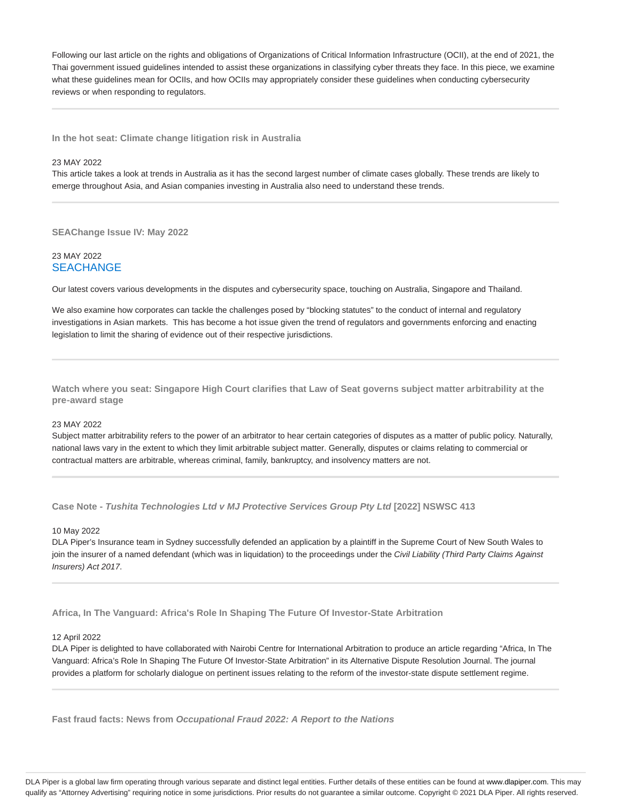Following our last article on the rights and obligations of Organizations of Critical Information Infrastructure (OCII), at the end of 2021, the Thai government issued guidelines intended to assist these organizations in classifying cyber threats they face. In this piece, we examine what these guidelines mean for OCIIs, and how OCIIs may appropriately consider these guidelines when conducting cybersecurity reviews or when responding to regulators.

**In the hot seat: Climate change litigation risk in Australia**

# 23 MAY 2022

This article takes a look at trends in Australia as it has the second largest number of climate cases globally. These trends are likely to emerge throughout Asia, and Asian companies investing in Australia also need to understand these trends.

**SEAChange Issue IV: May 2022**

# 23 MAY 2022 **SEACHANGE**

Our latest covers various developments in the disputes and cybersecurity space, touching on Australia, Singapore and Thailand.

We also examine how corporates can tackle the challenges posed by "blocking statutes" to the conduct of internal and regulatory investigations in Asian markets. This has become a hot issue given the trend of regulators and governments enforcing and enacting legislation to limit the sharing of evidence out of their respective jurisdictions.

**Watch where you seat: Singapore High Court clarifies that Law of Seat governs subject matter arbitrability at the pre‑award stage**

#### 23 MAY 2022

Subject matter arbitrability refers to the power of an arbitrator to hear certain categories of disputes as a matter of public policy. Naturally, national laws vary in the extent to which they limit arbitrable subject matter. Generally, disputes or claims relating to commercial or contractual matters are arbitrable, whereas criminal, family, bankruptcy, and insolvency matters are not.

**Case Note - Tushita Technologies Ltd v MJ Protective Services Group Pty Ltd [2022] NSWSC 413**

## 10 May 2022

DLA Piper's Insurance team in Sydney successfully defended an application by a plaintiff in the Supreme Court of New South Wales to join the insurer of a named defendant (which was in liquidation) to the proceedings under the Civil Liability (Third Party Claims Against Insurers) Act 2017.

**Africa, In The Vanguard: Africa's Role In Shaping The Future Of Investor-State Arbitration**

#### 12 April 2022

DLA Piper is delighted to have collaborated with Nairobi Centre for International Arbitration to produce an article regarding "Africa, In The Vanguard: Africa's Role In Shaping The Future Of Investor-State Arbitration" in its Alternative Dispute Resolution Journal. The journal provides a platform for scholarly dialogue on pertinent issues relating to the reform of the investor-state dispute settlement regime.

**Fast fraud facts: News from Occupational Fraud 2022: A Report to the Nations**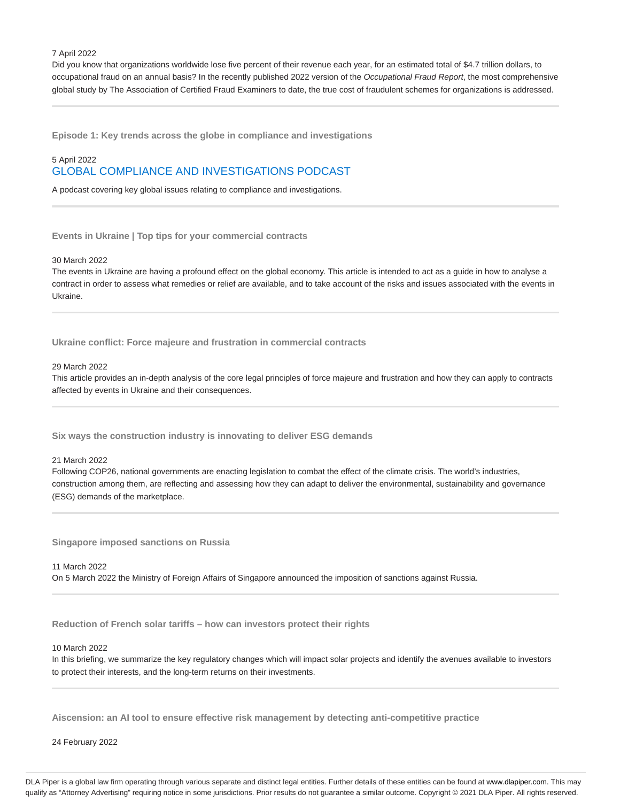#### 7 April 2022

Did you know that organizations worldwide lose five percent of their revenue each year, for an estimated total of \$4.7 trillion dollars, to occupational fraud on an annual basis? In the recently published 2022 version of the Occupational Fraud Report, the most comprehensive global study by The Association of Certified Fraud Examiners to date, the true cost of fraudulent schemes for organizations is addressed.

**Episode 1: Key trends across the globe in compliance and investigations**

# 5 April 2022 GLOBAL COMPLIANCE AND INVESTIGATIONS PODCAST

A podcast covering key global issues relating to compliance and investigations.

**Events in Ukraine | Top tips for your commercial contracts**

30 March 2022

The events in Ukraine are having a profound effect on the global economy. This article is intended to act as a guide in how to analyse a contract in order to assess what remedies or relief are available, and to take account of the risks and issues associated with the events in Ukraine.

**Ukraine conflict: Force majeure and frustration in commercial contracts**

29 March 2022

This article provides an in-depth analysis of the core legal principles of force majeure and frustration and how they can apply to contracts affected by events in Ukraine and their consequences.

**Six ways the construction industry is innovating to deliver ESG demands**

21 March 2022

Following COP26, national governments are enacting legislation to combat the effect of the climate crisis. The world's industries, construction among them, are reflecting and assessing how they can adapt to deliver the environmental, sustainability and governance (ESG) demands of the marketplace.

**Singapore imposed sanctions on Russia**

11 March 2022 On 5 March 2022 the Ministry of Foreign Affairs of Singapore announced the imposition of sanctions against Russia.

**Reduction of French solar tariffs – how can investors protect their rights**

10 March 2022

In this briefing, we summarize the key regulatory changes which will impact solar projects and identify the avenues available to investors to protect their interests, and the long-term returns on their investments.

**Aiscension: an AI tool to ensure effective risk management by detecting anti-competitive practice**

24 February 2022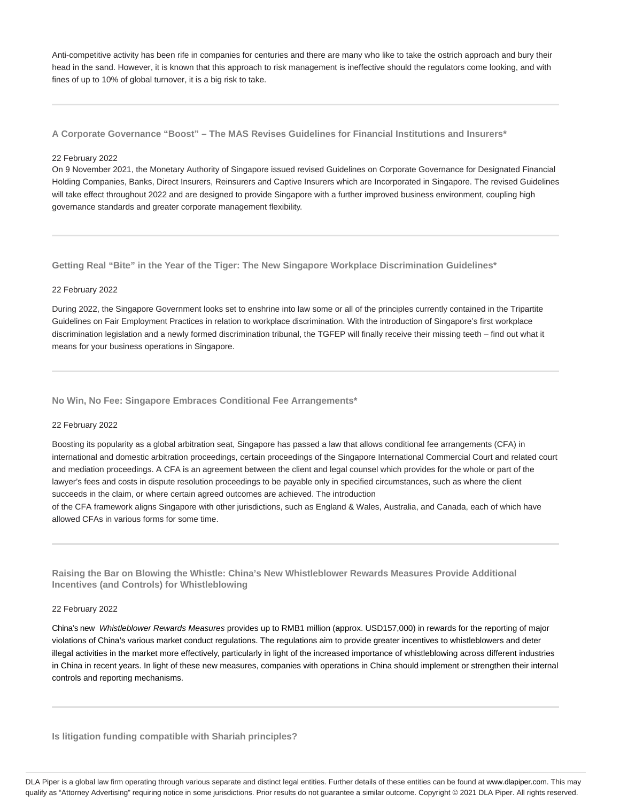Anti-competitive activity has been rife in companies for centuries and there are many who like to take the ostrich approach and bury their head in the sand. However, it is known that this approach to risk management is ineffective should the regulators come looking, and with fines of up to 10% of global turnover, it is a big risk to take.

**A Corporate Governance "Boost" – The MAS Revises Guidelines for Financial Institutions and Insurers\***

#### 22 February 2022

On 9 November 2021, the Monetary Authority of Singapore issued revised Guidelines on Corporate Governance for Designated Financial Holding Companies, Banks, Direct Insurers, Reinsurers and Captive Insurers which are Incorporated in Singapore. The revised Guidelines will take effect throughout 2022 and are designed to provide Singapore with a further improved business environment, coupling high governance standards and greater corporate management flexibility.

**Getting Real "Bite" in the Year of the Tiger: The New Singapore Workplace Discrimination Guidelines\***

# 22 February 2022

During 2022, the Singapore Government looks set to enshrine into law some or all of the principles currently contained in the Tripartite Guidelines on Fair Employment Practices in relation to workplace discrimination. With the introduction of Singapore's first workplace discrimination legislation and a newly formed discrimination tribunal, the TGFEP will finally receive their missing teeth – find out what it means for your business operations in Singapore.

# **No Win, No Fee: Singapore Embraces Conditional Fee Arrangements\***

#### 22 February 2022

Boosting its popularity as a global arbitration seat, Singapore has passed a law that allows conditional fee arrangements (CFA) in international and domestic arbitration proceedings, certain proceedings of the Singapore International Commercial Court and related court and mediation proceedings. A CFA is an agreement between the client and legal counsel which provides for the whole or part of the lawyer's fees and costs in dispute resolution proceedings to be payable only in specified circumstances, such as where the client succeeds in the claim, or where certain agreed outcomes are achieved. The introduction

of the CFA framework aligns Singapore with other jurisdictions, such as England & Wales, Australia, and Canada, each of which have allowed CFAs in various forms for some time.

**Raising the Bar on Blowing the Whistle: China's New Whistleblower Rewards Measures Provide Additional Incentives (and Controls) for Whistleblowing**

# 22 February 2022

China's new Whistleblower Rewards Measures provides up to RMB1 million (approx. USD157,000) in rewards for the reporting of major violations of China's various market conduct regulations. The regulations aim to provide greater incentives to whistleblowers and deter illegal activities in the market more effectively, particularly in light of the increased importance of whistleblowing across different industries in China in recent years. In light of these new measures, companies with operations in China should implement or strengthen their internal controls and reporting mechanisms.

**Is litigation funding compatible with Shariah principles?**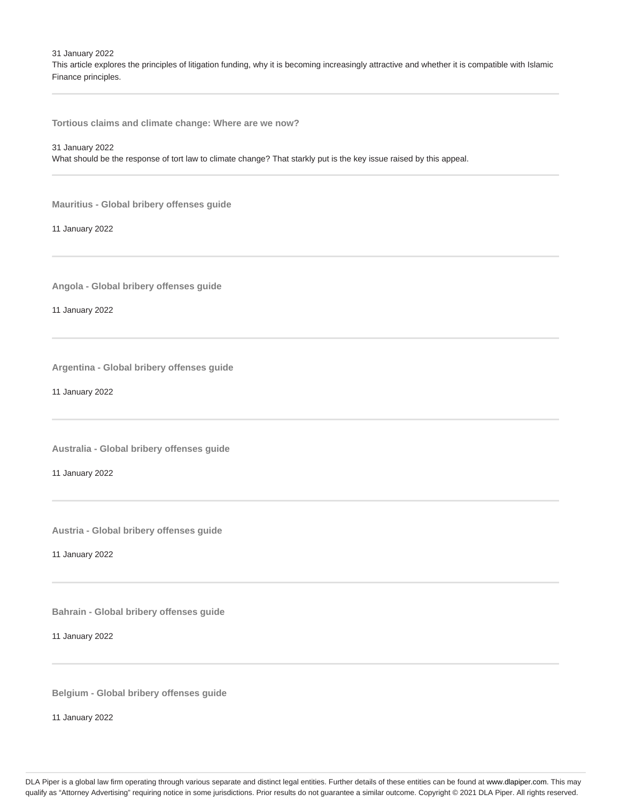31 January 2022

This article explores the principles of litigation funding, why it is becoming increasingly attractive and whether it is compatible with Islamic Finance principles.

**Tortious claims and climate change: Where are we now?**

31 January 2022

What should be the response of tort law to climate change? That starkly put is the key issue raised by this appeal.

**Mauritius - Global bribery offenses guide**

11 January 2022

**Angola - Global bribery offenses guide**

11 January 2022

**Argentina - Global bribery offenses guide**

11 January 2022

**Australia - Global bribery offenses guide**

11 January 2022

**Austria - Global bribery offenses guide**

11 January 2022

**Bahrain - Global bribery offenses guide**

11 January 2022

**Belgium - Global bribery offenses guide**

11 January 2022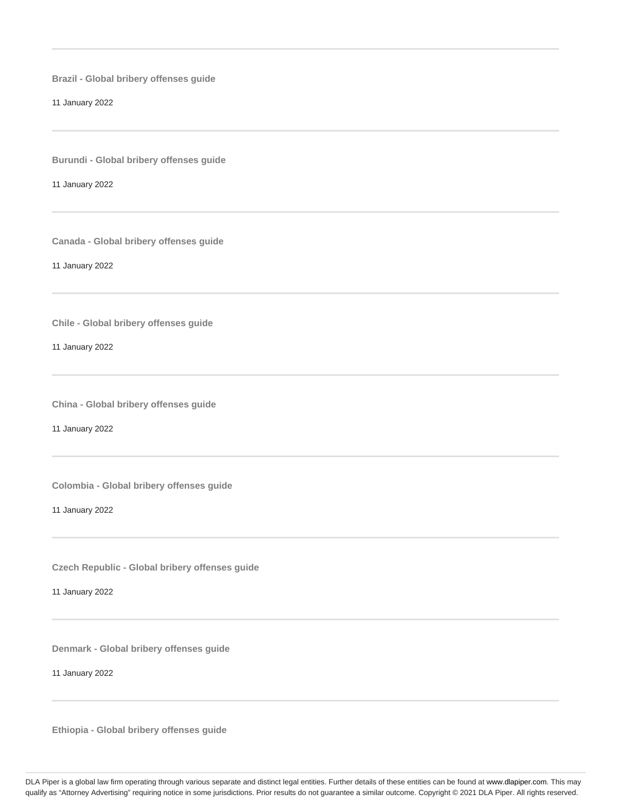**Brazil - Global bribery offenses guide**

11 January 2022

**Burundi - Global bribery offenses guide**

11 January 2022

**Canada - Global bribery offenses guide**

11 January 2022

**Chile - Global bribery offenses guide**

11 January 2022

**China - Global bribery offenses guide**

11 January 2022

**Colombia - Global bribery offenses guide**

11 January 2022

**Czech Republic - Global bribery offenses guide**

11 January 2022

**Denmark - Global bribery offenses guide**

11 January 2022

**Ethiopia - Global bribery offenses guide**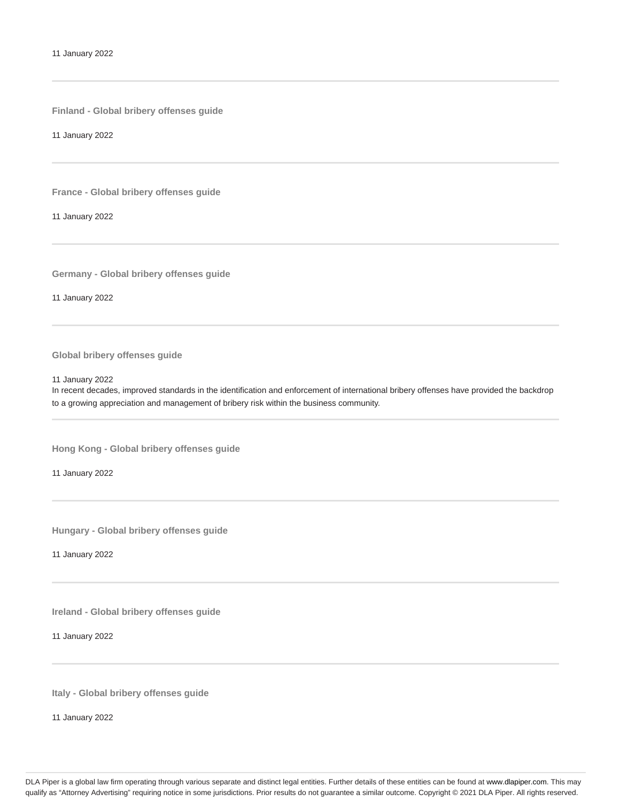**Finland - Global bribery offenses guide**

11 January 2022

**France - Global bribery offenses guide**

11 January 2022

**Germany - Global bribery offenses guide**

11 January 2022

# **Global bribery offenses guide**

11 January 2022

In recent decades, improved standards in the identification and enforcement of international bribery offenses have provided the backdrop to a growing appreciation and management of bribery risk within the business community.

**Hong Kong - Global bribery offenses guide**

11 January 2022

**Hungary - Global bribery offenses guide**

11 January 2022

**Ireland - Global bribery offenses guide**

11 January 2022

**Italy - Global bribery offenses guide**

11 January 2022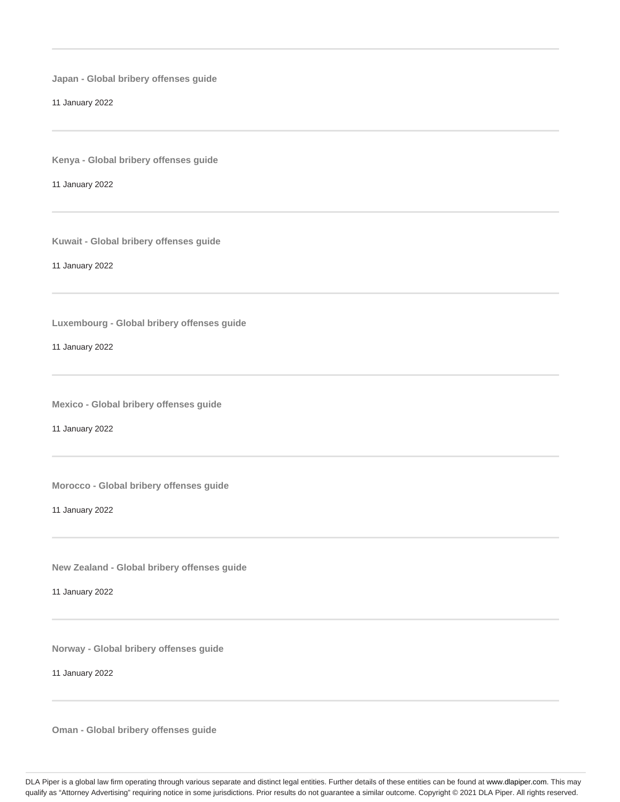**Japan - Global bribery offenses guide**

11 January 2022

**Kenya - Global bribery offenses guide**

11 January 2022

**Kuwait - Global bribery offenses guide**

11 January 2022

**Luxembourg - Global bribery offenses guide**

11 January 2022

**Mexico - Global bribery offenses guide**

11 January 2022

**Morocco - Global bribery offenses guide**

11 January 2022

**New Zealand - Global bribery offenses guide**

11 January 2022

**Norway - Global bribery offenses guide**

11 January 2022

**Oman - Global bribery offenses guide**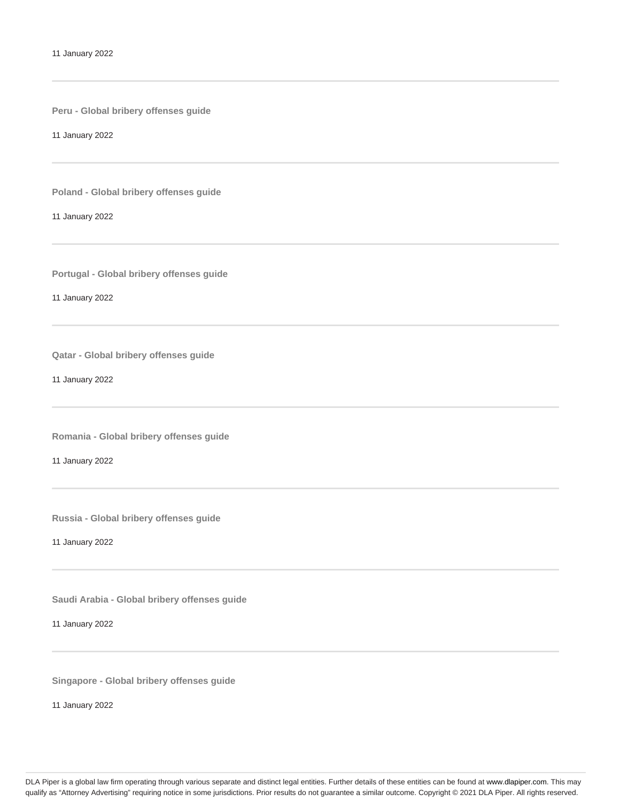**Peru - Global bribery offenses guide**

11 January 2022

**Poland - Global bribery offenses guide**

11 January 2022

**Portugal - Global bribery offenses guide**

11 January 2022

**Qatar - Global bribery offenses guide**

11 January 2022

**Romania - Global bribery offenses guide**

11 January 2022

**Russia - Global bribery offenses guide**

11 January 2022

**Saudi Arabia - Global bribery offenses guide**

11 January 2022

**Singapore - Global bribery offenses guide**

11 January 2022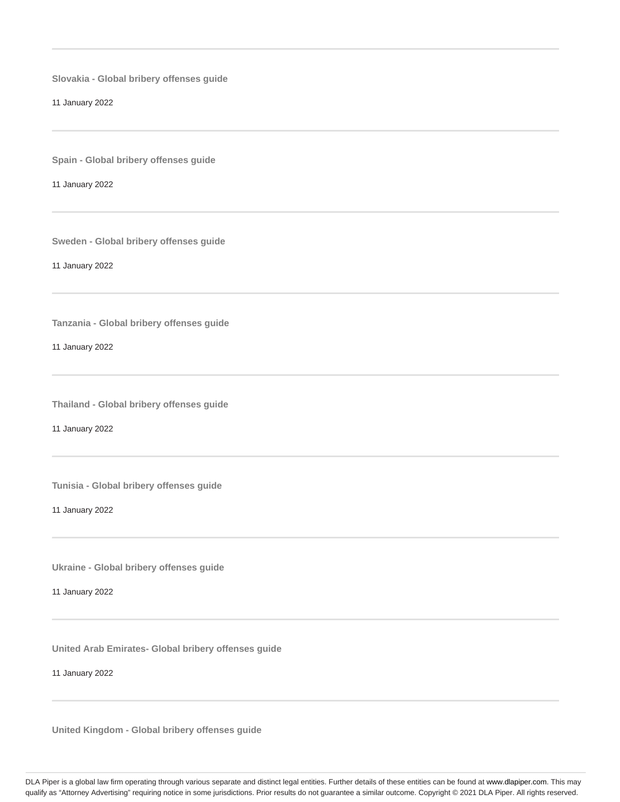**Slovakia - Global bribery offenses guide**

11 January 2022

**Spain - Global bribery offenses guide**

11 January 2022

**Sweden - Global bribery offenses guide**

11 January 2022

**Tanzania - Global bribery offenses guide**

11 January 2022

**Thailand - Global bribery offenses guide**

11 January 2022

**Tunisia - Global bribery offenses guide**

11 January 2022

**Ukraine - Global bribery offenses guide**

11 January 2022

**United Arab Emirates- Global bribery offenses guide**

11 January 2022

**United Kingdom - Global bribery offenses guide**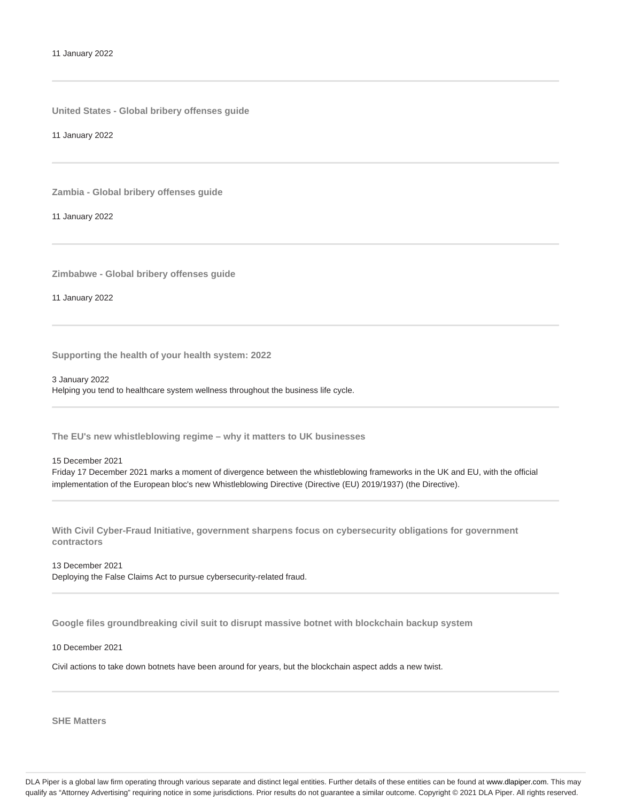**United States - Global bribery offenses guide**

11 January 2022

**Zambia - Global bribery offenses guide**

11 January 2022

**Zimbabwe - Global bribery offenses guide**

11 January 2022

**Supporting the health of your health system: 2022**

3 January 2022 Helping you tend to healthcare system wellness throughout the business life cycle.

**The EU's new whistleblowing regime – why it matters to UK businesses**

15 December 2021 Friday 17 December 2021 marks a moment of divergence between the whistleblowing frameworks in the UK and EU, with the official implementation of the European bloc's new Whistleblowing Directive (Directive (EU) 2019/1937) (the Directive).

**With Civil Cyber-Fraud Initiative, government sharpens focus on cybersecurity obligations for government contractors**

13 December 2021 Deploying the False Claims Act to pursue cybersecurity-related fraud.

**Google files groundbreaking civil suit to disrupt massive botnet with blockchain backup system**

10 December 2021

Civil actions to take down botnets have been around for years, but the blockchain aspect adds a new twist.

**SHE Matters**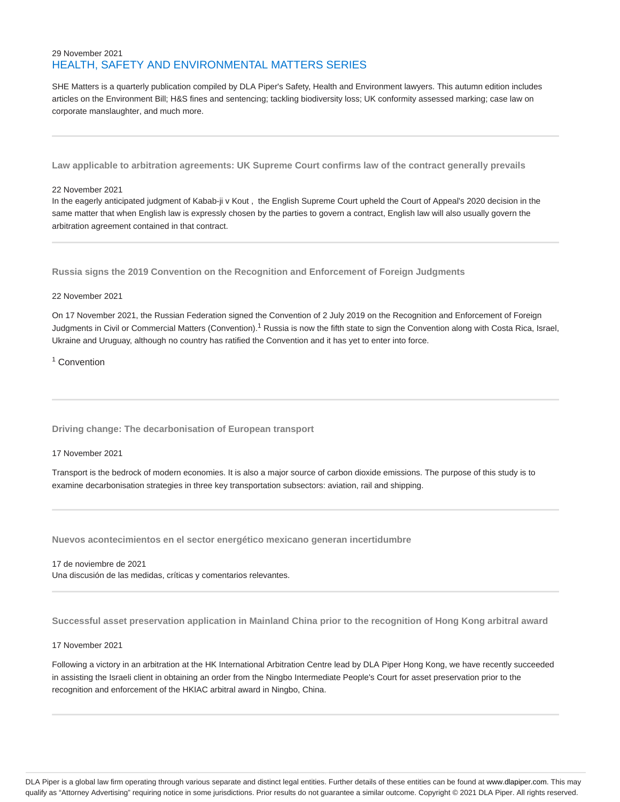# 29 November 2021 HEALTH, SAFETY AND ENVIRONMENTAL MATTERS SERIES

SHE Matters is a quarterly publication compiled by DLA Piper's Safety, Health and Environment lawyers. This autumn edition includes articles on the Environment Bill; H&S fines and sentencing; tackling biodiversity loss; UK conformity assessed marking; case law on corporate manslaughter, and much more.

**Law applicable to arbitration agreements: UK Supreme Court confirms law of the contract generally prevails**

## 22 November 2021

In the eagerly anticipated judgment of Kabab-ji v Kout , the English Supreme Court upheld the Court of Appeal's 2020 decision in the same matter that when English law is expressly chosen by the parties to govern a contract, English law will also usually govern the arbitration agreement contained in that contract.

**Russia signs the 2019 Convention on the Recognition and Enforcement of Foreign Judgments**

# 22 November 2021

On 17 November 2021, the Russian Federation signed the Convention of 2 July 2019 on the Recognition and Enforcement of Foreign Judgments in Civil or Commercial Matters (Convention).<sup>1</sup> Russia is now the fifth state to sign the Convention along with Costa Rica, Israel, Ukraine and Uruguay, although no country has ratified the Convention and it has yet to enter into force.

<sup>1</sup> Convention

**Driving change: The decarbonisation of European transport**

# 17 November 2021

Transport is the bedrock of modern economies. It is also a major source of carbon dioxide emissions. The purpose of this study is to examine decarbonisation strategies in three key transportation subsectors: aviation, rail and shipping.

**Nuevos acontecimientos en el sector energético mexicano generan incertidumbre**

17 de noviembre de 2021 Una discusión de las medidas, críticas y comentarios relevantes.

**Successful asset preservation application in Mainland China prior to the recognition of Hong Kong arbitral award**

# 17 November 2021

Following a victory in an arbitration at the HK International Arbitration Centre lead by DLA Piper Hong Kong, we have recently succeeded in assisting the Israeli client in obtaining an order from the Ningbo Intermediate People's Court for asset preservation prior to the recognition and enforcement of the HKIAC arbitral award in Ningbo, China.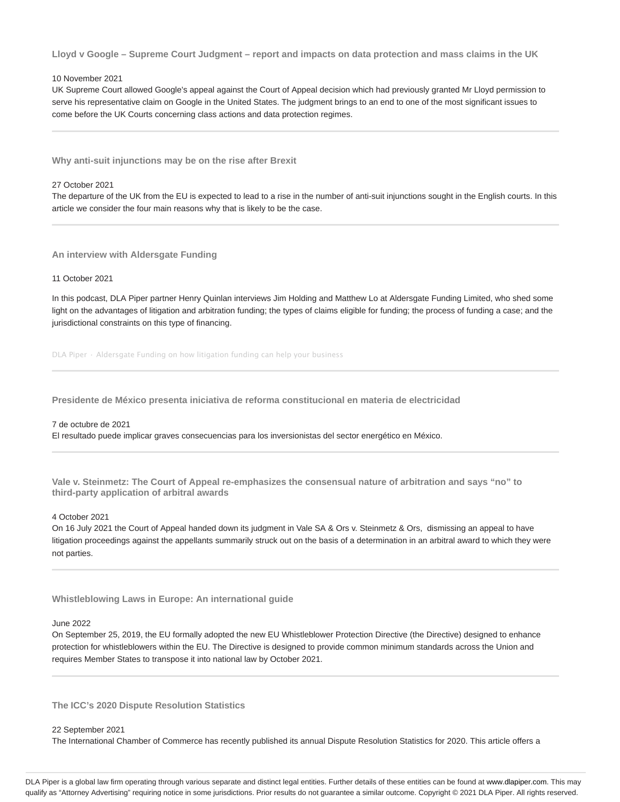**Lloyd v Google – Supreme Court Judgment – report and impacts on data protection and mass claims in the UK**

# 10 November 2021

UK Supreme Court allowed Google's appeal against the Court of Appeal decision which had previously granted Mr Lloyd permission to serve his representative claim on Google in the United States. The judgment brings to an end to one of the most significant issues to come before the UK Courts concerning class actions and data protection regimes.

**Why anti-suit injunctions may be on the rise after Brexit**

# 27 October 2021

The departure of the UK from the EU is expected to lead to a rise in the number of anti-suit injunctions sought in the English courts. In this article we consider the four main reasons why that is likely to be the case.

**An interview with Aldersgate Funding**

# 11 October 2021

In this podcast, DLA Piper partner Henry Quinlan interviews Jim Holding and Matthew Lo at Aldersgate Funding Limited, who shed some light on the advantages of litigation and arbitration funding; the types of claims eligible for funding; the process of funding a case; and the jurisdictional constraints on this type of financing.

DLA Piper · Aldersgate Funding on how litigation funding can help your business

**Presidente de México presenta iniciativa de reforma constitucional en materia de electricidad**

#### 7 de octubre de 2021

El resultado puede implicar graves consecuencias para los inversionistas del sector energético en México.

**Vale v. Steinmetz: The Court of Appeal re-emphasizes the consensual nature of arbitration and says "no" to third-party application of arbitral awards**

# 4 October 2021

On 16 July 2021 the Court of Appeal handed down its judgment in Vale SA & Ors v. Steinmetz & Ors, dismissing an appeal to have litigation proceedings against the appellants summarily struck out on the basis of a determination in an arbitral award to which they were not parties.

**Whistleblowing Laws in Europe: An international guide**

# June 2022

On September 25, 2019, the EU formally adopted the new EU Whistleblower Protection Directive (the Directive) designed to enhance protection for whistleblowers within the EU. The Directive is designed to provide common minimum standards across the Union and requires Member States to transpose it into national law by October 2021.

**The ICC's 2020 Dispute Resolution Statistics**

#### 22 September 2021

The International Chamber of Commerce has recently published its annual Dispute Resolution Statistics for 2020. This article offers a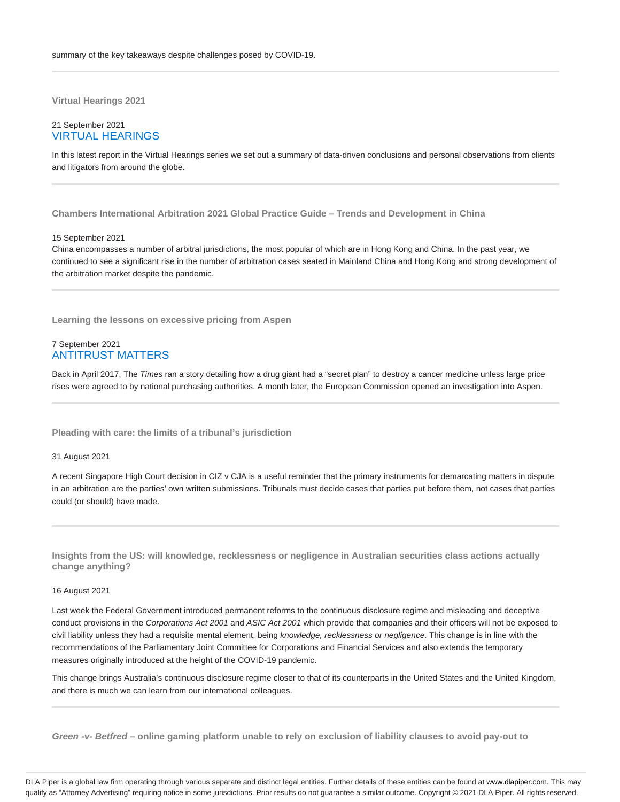**Virtual Hearings 2021**

# 21 September 2021 VIRTUAL HEARINGS

In this latest report in the Virtual Hearings series we set out a summary of data-driven conclusions and personal observations from clients and litigators from around the globe.

**Chambers International Arbitration 2021 Global Practice Guide – Trends and Development in China**

#### 15 September 2021

China encompasses a number of arbitral jurisdictions, the most popular of which are in Hong Kong and China. In the past year, we continued to see a significant rise in the number of arbitration cases seated in Mainland China and Hong Kong and strong development of the arbitration market despite the pandemic.

**Learning the lessons on excessive pricing from Aspen**

# 7 September 2021 ANTITRUST MATTERS

Back in April 2017, The Times ran a story detailing how a drug giant had a "secret plan" to destroy a cancer medicine unless large price rises were agreed to by national purchasing authorities. A month later, the European Commission opened an investigation into Aspen.

**Pleading with care: the limits of a tribunal's jurisdiction**

#### 31 August 2021

A recent Singapore High Court decision in CIZ v CJA is a useful reminder that the primary instruments for demarcating matters in dispute in an arbitration are the parties' own written submissions. Tribunals must decide cases that parties put before them, not cases that parties could (or should) have made.

**Insights from the US: will knowledge, recklessness or negligence in Australian securities class actions actually change anything?**

## 16 August 2021

Last week the Federal Government introduced permanent reforms to the continuous disclosure regime and misleading and deceptive conduct provisions in the Corporations Act 2001 and ASIC Act 2001 which provide that companies and their officers will not be exposed to civil liability unless they had a requisite mental element, being knowledge, recklessness or negligence. This change is in line with the recommendations of the Parliamentary Joint Committee for Corporations and Financial Services and also extends the temporary measures originally introduced at the height of the COVID-19 pandemic.

This change brings Australia's continuous disclosure regime closer to that of its counterparts in the United States and the United Kingdom, and there is much we can learn from our international colleagues.

**Green -v- Betfred – online gaming platform unable to rely on exclusion of liability clauses to avoid pay-out to**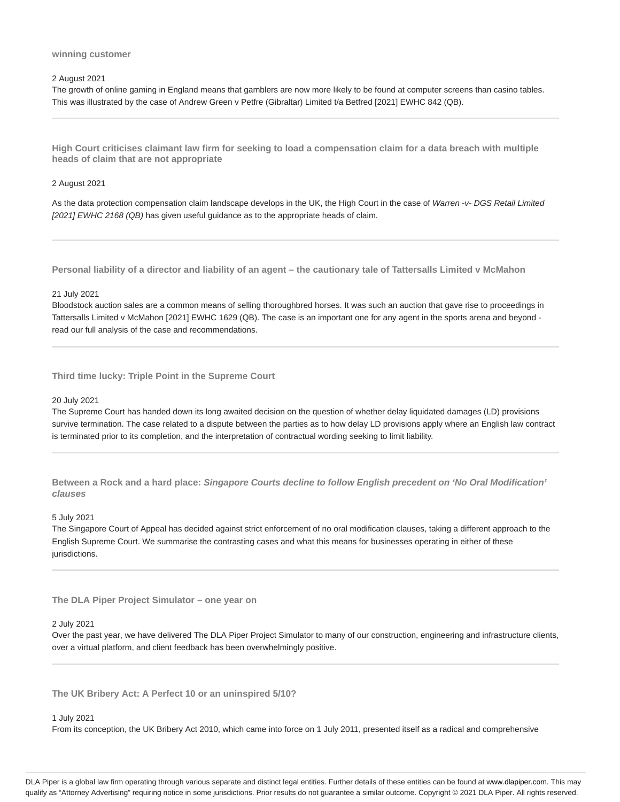#### **winning customer**

# 2 August 2021

The growth of online gaming in England means that gamblers are now more likely to be found at computer screens than casino tables. This was illustrated by the case of Andrew Green v Petfre (Gibraltar) Limited t/a Betfred [2021] EWHC 842 (QB).

**High Court criticises claimant law firm for seeking to load a compensation claim for a data breach with multiple heads of claim that are not appropriate**

# 2 August 2021

As the data protection compensation claim landscape develops in the UK, the High Court in the case of Warren -v- DGS Retail Limited [2021] EWHC 2168 (QB) has given useful guidance as to the appropriate heads of claim.

**Personal liability of a director and liability of an agent – the cautionary tale of Tattersalls Limited v McMahon**

# 21 July 2021

Bloodstock auction sales are a common means of selling thoroughbred horses. It was such an auction that gave rise to proceedings in Tattersalls Limited v McMahon [2021] EWHC 1629 (QB). The case is an important one for any agent in the sports arena and beyond read our full analysis of the case and recommendations.

**Third time lucky: Triple Point in the Supreme Court**

#### 20 July 2021

The Supreme Court has handed down its long awaited decision on the question of whether delay liquidated damages (LD) provisions survive termination. The case related to a dispute between the parties as to how delay LD provisions apply where an English law contract is terminated prior to its completion, and the interpretation of contractual wording seeking to limit liability.

**Between a Rock and a hard place: Singapore Courts decline to follow English precedent on 'No Oral Modification' clauses**

#### 5 July 2021

The Singapore Court of Appeal has decided against strict enforcement of no oral modification clauses, taking a different approach to the English Supreme Court. We summarise the contrasting cases and what this means for businesses operating in either of these jurisdictions.

**The DLA Piper Project Simulator – one year on**

#### 2 July 2021

Over the past year, we have delivered The DLA Piper Project Simulator to many of our construction, engineering and infrastructure clients, over a virtual platform, and client feedback has been overwhelmingly positive.

**The UK Bribery Act: A Perfect 10 or an uninspired 5/10?**

#### 1 July 2021

From its conception, the UK Bribery Act 2010, which came into force on 1 July 2011, presented itself as a radical and comprehensive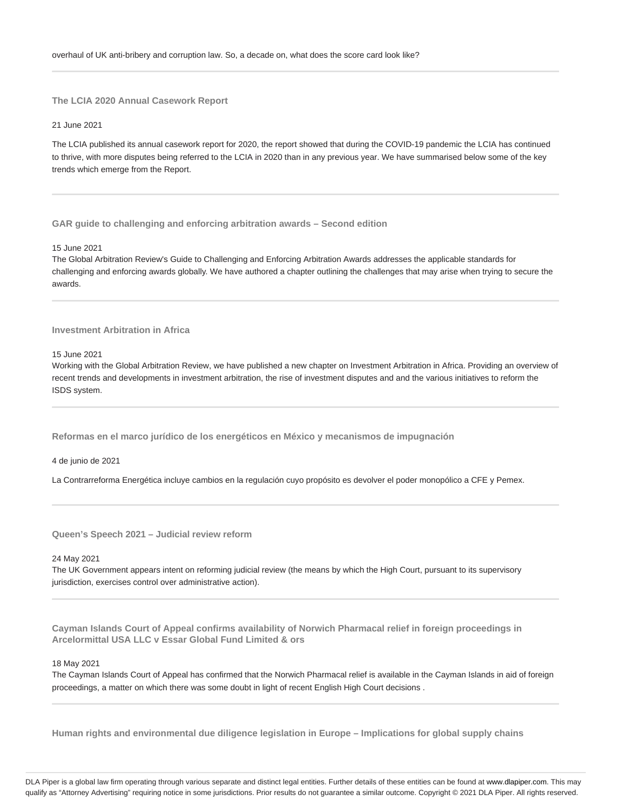**The LCIA 2020 Annual Casework Report**

21 June 2021

The LCIA published its annual casework report for 2020, the report showed that during the COVID-19 pandemic the LCIA has continued to thrive, with more disputes being referred to the LCIA in 2020 than in any previous year. We have summarised below some of the key trends which emerge from the Report.

**GAR guide to challenging and enforcing arbitration awards – Second edition**

#### 15 June 2021

The Global Arbitration Review's Guide to Challenging and Enforcing Arbitration Awards addresses the applicable standards for challenging and enforcing awards globally. We have authored a chapter outlining the challenges that may arise when trying to secure the awards.

# **Investment Arbitration in Africa**

15 June 2021

Working with the Global Arbitration Review, we have published a new chapter on Investment Arbitration in Africa. Providing an overview of recent trends and developments in investment arbitration, the rise of investment disputes and and the various initiatives to reform the ISDS system.

**Reformas en el marco jurídico de los energéticos en México y mecanismos de impugnación**

4 de junio de 2021

La Contrarreforma Energética incluye cambios en la regulación cuyo propósito es devolver el poder monopólico a CFE y Pemex.

**Queen's Speech 2021 – Judicial review reform**

# 24 May 2021

The UK Government appears intent on reforming judicial review (the means by which the High Court, pursuant to its supervisory jurisdiction, exercises control over administrative action).

**Cayman Islands Court of Appeal confirms availability of Norwich Pharmacal relief in foreign proceedings in Arcelormittal USA LLC v Essar Global Fund Limited & ors**

18 May 2021

The Cayman Islands Court of Appeal has confirmed that the Norwich Pharmacal relief is available in the Cayman Islands in aid of foreign proceedings, a matter on which there was some doubt in light of recent English High Court decisions .

**Human rights and environmental due diligence legislation in Europe – Implications for global supply chains**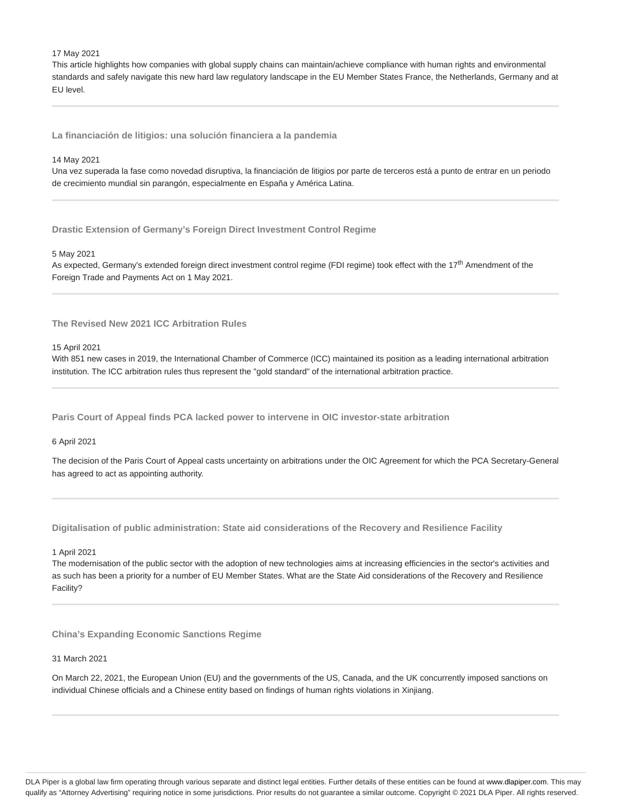# 17 May 2021

This article highlights how companies with global supply chains can maintain/achieve compliance with human rights and environmental standards and safely navigate this new hard law regulatory landscape in the EU Member States France, the Netherlands, Germany and at EU level.

**La financiación de litigios: una solución financiera a la pandemia**

## 14 May 2021

Una vez superada la fase como novedad disruptiva, la financiación de litigios por parte de terceros está a punto de entrar en un periodo de crecimiento mundial sin parangón, especialmente en España y América Latina.

**Drastic Extension of Germany's Foreign Direct Investment Control Regime**

## 5 May 2021

As expected, Germany's extended foreign direct investment control regime (FDI regime) took effect with the 17<sup>th</sup> Amendment of the Foreign Trade and Payments Act on 1 May 2021.

**The Revised New 2021 ICC Arbitration Rules**

15 April 2021

With 851 new cases in 2019, the International Chamber of Commerce (ICC) maintained its position as a leading international arbitration institution. The ICC arbitration rules thus represent the "gold standard" of the international arbitration practice.

**Paris Court of Appeal finds PCA lacked power to intervene in OIC investor-state arbitration**

6 April 2021

The decision of the Paris Court of Appeal casts uncertainty on arbitrations under the OIC Agreement for which the PCA Secretary-General has agreed to act as appointing authority.

**Digitalisation of public administration: State aid considerations of the Recovery and Resilience Facility**

1 April 2021

The modernisation of the public sector with the adoption of new technologies aims at increasing efficiencies in the sector's activities and as such has been a priority for a number of EU Member States. What are the State Aid considerations of the Recovery and Resilience Facility?

**China's Expanding Economic Sanctions Regime**

31 March 2021

On March 22, 2021, the European Union (EU) and the governments of the US, Canada, and the UK concurrently imposed sanctions on individual Chinese officials and a Chinese entity based on findings of human rights violations in Xinjiang.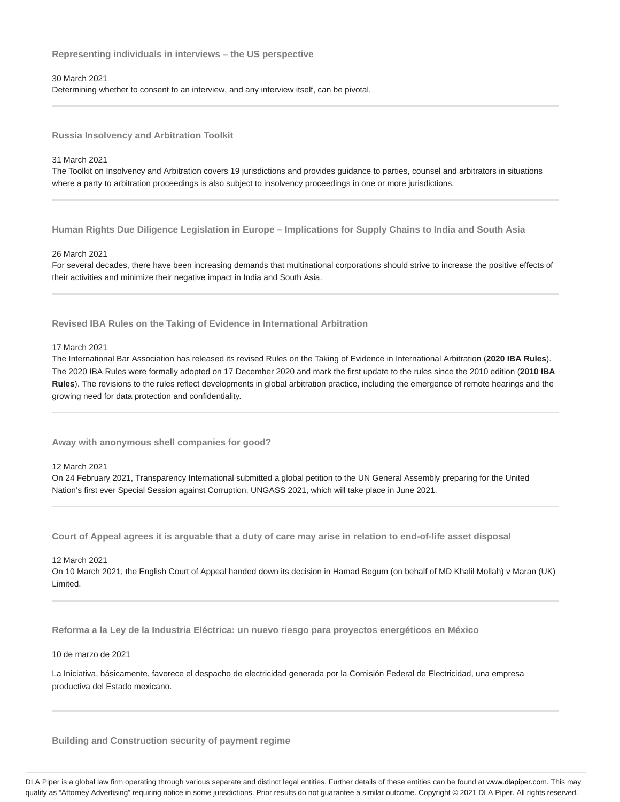**Representing individuals in interviews – the US perspective**

# 30 March 2021

Determining whether to consent to an interview, and any interview itself, can be pivotal.

**Russia Insolvency and Arbitration Toolkit**

31 March 2021

The Toolkit on Insolvency and Arbitration covers 19 jurisdictions and provides guidance to parties, counsel and arbitrators in situations where a party to arbitration proceedings is also subject to insolvency proceedings in one or more jurisdictions.

**Human Rights Due Diligence Legislation in Europe – Implications for Supply Chains to India and South Asia**

## 26 March 2021

For several decades, there have been increasing demands that multinational corporations should strive to increase the positive effects of their activities and minimize their negative impact in India and South Asia.

# **Revised IBA Rules on the Taking of Evidence in International Arbitration**

# 17 March 2021

The International Bar Association has released its revised Rules on the Taking of Evidence in International Arbitration (**2020 IBA Rules**). The 2020 IBA Rules were formally adopted on 17 December 2020 and mark the first update to the rules since the 2010 edition (**2010 IBA Rules**). The revisions to the rules reflect developments in global arbitration practice, including the emergence of remote hearings and the growing need for data protection and confidentiality.

**Away with anonymous shell companies for good?**

## 12 March 2021

On 24 February 2021, Transparency International submitted a global petition to the UN General Assembly preparing for the United Nation's first ever Special Session against Corruption, UNGASS 2021, which will take place in June 2021.

**Court of Appeal agrees it is arguable that a duty of care may arise in relation to end-of-life asset disposal**

#### 12 March 2021

On 10 March 2021, the English Court of Appeal handed down its decision in Hamad Begum (on behalf of MD Khalil Mollah) v Maran (UK) Limited.

**Reforma a la Ley de la Industria Eléctrica: un nuevo riesgo para proyectos energéticos en México**

10 de marzo de 2021

La Iniciativa, básicamente, favorece el despacho de electricidad generada por la Comisión Federal de Electricidad, una empresa productiva del Estado mexicano.

# **Building and Construction security of payment regime**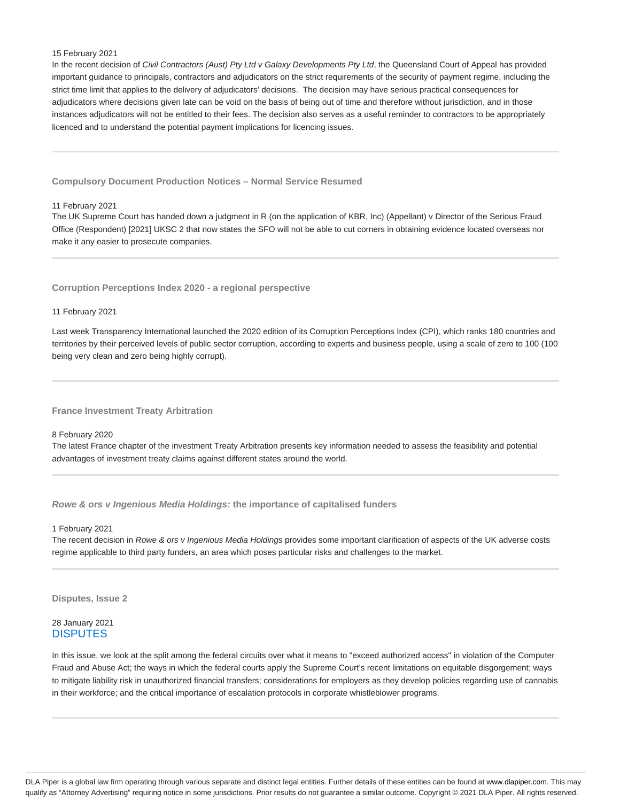## 15 February 2021

In the recent decision of Civil Contractors (Aust) Pty Ltd v Galaxy Developments Pty Ltd, the Queensland Court of Appeal has provided important guidance to principals, contractors and adjudicators on the strict requirements of the security of payment regime, including the strict time limit that applies to the delivery of adjudicators' decisions. The decision may have serious practical consequences for adjudicators where decisions given late can be void on the basis of being out of time and therefore without jurisdiction, and in those instances adjudicators will not be entitled to their fees. The decision also serves as a useful reminder to contractors to be appropriately licenced and to understand the potential payment implications for licencing issues.

**Compulsory Document Production Notices – Normal Service Resumed**

# 11 February 2021

The UK Supreme Court has handed down a judgment in R (on the application of KBR, Inc) (Appellant) v Director of the Serious Fraud Office (Respondent) [2021] UKSC 2 that now states the SFO will not be able to cut corners in obtaining evidence located overseas nor make it any easier to prosecute companies.

# **Corruption Perceptions Index 2020 - a regional perspective**

#### 11 February 2021

Last week Transparency International launched the 2020 edition of its Corruption Perceptions Index (CPI), which ranks 180 countries and territories by their perceived levels of public sector corruption, according to experts and business people, using a scale of zero to 100 (100 being very clean and zero being highly corrupt).

**France Investment Treaty Arbitration**

# 8 February 2020

The latest France chapter of the investment Treaty Arbitration presents key information needed to assess the feasibility and potential advantages of investment treaty claims against different states around the world.

**Rowe & ors v Ingenious Media Holdings: the importance of capitalised funders**

## 1 February 2021

The recent decision in Rowe & ors v Ingenious Media Holdings provides some important clarification of aspects of the UK adverse costs regime applicable to third party funders, an area which poses particular risks and challenges to the market.

#### **Disputes, Issue 2**

# 28 January 2021 **DISPUTES**

In this issue, we look at the split among the federal circuits over what it means to "exceed authorized access" in violation of the Computer Fraud and Abuse Act; the ways in which the federal courts apply the Supreme Court's recent limitations on equitable disgorgement; ways to mitigate liability risk in unauthorized financial transfers; considerations for employers as they develop policies regarding use of cannabis in their workforce; and the critical importance of escalation protocols in corporate whistleblower programs.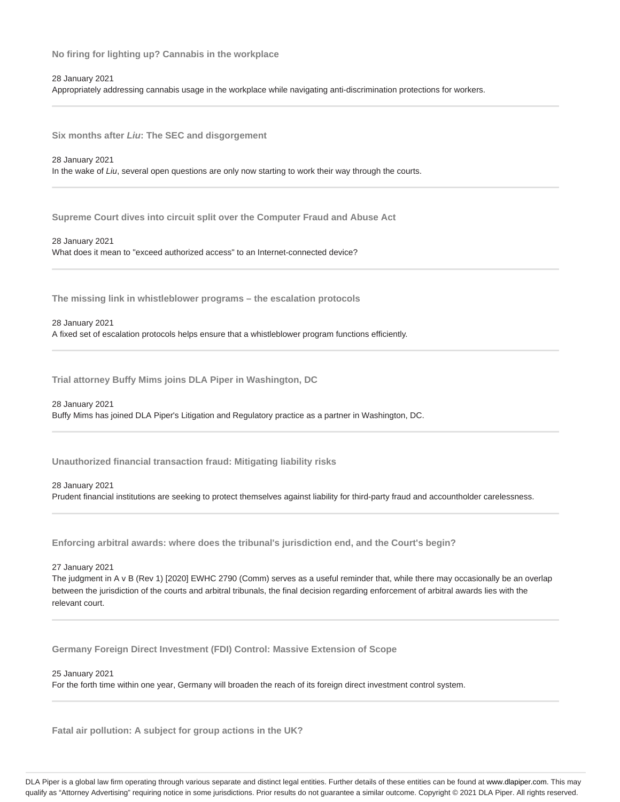**No firing for lighting up? Cannabis in the workplace**

28 January 2021

Appropriately addressing cannabis usage in the workplace while navigating anti-discrimination protections for workers.

**Six months after Liu: The SEC and disgorgement**

28 January 2021 In the wake of Liu, several open questions are only now starting to work their way through the courts.

**Supreme Court dives into circuit split over the Computer Fraud and Abuse Act**

28 January 2021 What does it mean to "exceed authorized access" to an Internet-connected device?

**The missing link in whistleblower programs – the escalation protocols**

#### 28 January 2021

A fixed set of escalation protocols helps ensure that a whistleblower program functions efficiently.

**Trial attorney Buffy Mims joins DLA Piper in Washington, DC**

28 January 2021

Buffy Mims has joined DLA Piper's Litigation and Regulatory practice as a partner in Washington, DC.

**Unauthorized financial transaction fraud: Mitigating liability risks**

28 January 2021

Prudent financial institutions are seeking to protect themselves against liability for third-party fraud and accountholder carelessness.

**Enforcing arbitral awards: where does the tribunal's jurisdiction end, and the Court's begin?**

27 January 2021

The judgment in A v B (Rev 1) [2020] EWHC 2790 (Comm) serves as a useful reminder that, while there may occasionally be an overlap between the jurisdiction of the courts and arbitral tribunals, the final decision regarding enforcement of arbitral awards lies with the relevant court.

**Germany Foreign Direct Investment (FDI) Control: Massive Extension of Scope**

25 January 2021

For the forth time within one year, Germany will broaden the reach of its foreign direct investment control system.

**Fatal air pollution: A subject for group actions in the UK?**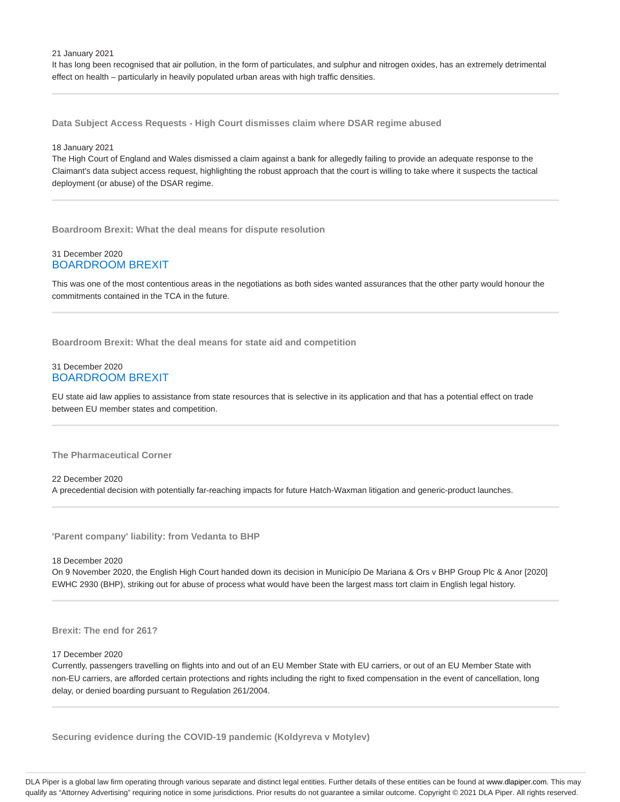21 January 2021

It has long been recognised that air pollution, in the form of particulates, and sulphur and nitrogen oxides, has an extremely detrimental effect on health – particularly in heavily populated urban areas with high traffic densities.

**Data Subject Access Requests - High Court dismisses claim where DSAR regime abused**

#### 18 January 2021

The High Court of England and Wales dismissed a claim against a bank for allegedly failing to provide an adequate response to the Claimant's data subject access request, highlighting the robust approach that the court is willing to take where it suspects the tactical deployment (or abuse) of the DSAR regime.

**Boardroom Brexit: What the deal means for dispute resolution**

# 31 December 2020 BOARDROOM BREXIT

This was one of the most contentious areas in the negotiations as both sides wanted assurances that the other party would honour the commitments contained in the TCA in the future.

**Boardroom Brexit: What the deal means for state aid and competition**

# 31 December 2020 BOARDROOM BREXIT

EU state aid law applies to assistance from state resources that is selective in its application and that has a potential effect on trade between EU member states and competition.

**The Pharmaceutical Corner**

22 December 2020 A precedential decision with potentially far-reaching impacts for future Hatch-Waxman litigation and generic-product launches.

**'Parent company' liability: from Vedanta to BHP**

18 December 2020

On 9 November 2020, the English High Court handed down its decision in Município De Mariana & Ors v BHP Group Plc & Anor [2020] EWHC 2930 (BHP), striking out for abuse of process what would have been the largest mass tort claim in English legal history.

**Brexit: The end for 261?**

#### 17 December 2020

Currently, passengers travelling on flights into and out of an EU Member State with EU carriers, or out of an EU Member State with non-EU carriers, are afforded certain protections and rights including the right to fixed compensation in the event of cancellation, long delay, or denied boarding pursuant to Regulation 261/2004.

**Securing evidence during the COVID-19 pandemic (Koldyreva v Motylev)**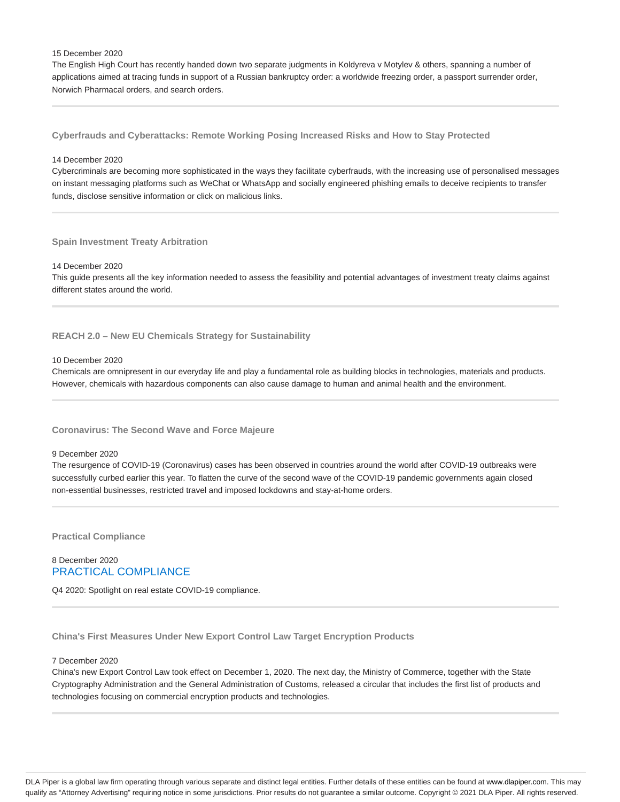#### 15 December 2020

The English High Court has recently handed down two separate judgments in Koldyreva v Motylev & others, spanning a number of applications aimed at tracing funds in support of a Russian bankruptcy order: a worldwide freezing order, a passport surrender order, Norwich Pharmacal orders, and search orders.

**Cyberfrauds and Cyberattacks: Remote Working Posing Increased Risks and How to Stay Protected**

## 14 December 2020

Cybercriminals are becoming more sophisticated in the ways they facilitate cyberfrauds, with the increasing use of personalised messages on instant messaging platforms such as WeChat or WhatsApp and socially engineered phishing emails to deceive recipients to transfer funds, disclose sensitive information or click on malicious links.

## **Spain Investment Treaty Arbitration**

# 14 December 2020

This guide presents all the key information needed to assess the feasibility and potential advantages of investment treaty claims against different states around the world.

**REACH 2.0 – New EU Chemicals Strategy for Sustainability**

## 10 December 2020

Chemicals are omnipresent in our everyday life and play a fundamental role as building blocks in technologies, materials and products. However, chemicals with hazardous components can also cause damage to human and animal health and the environment.

# **Coronavirus: The Second Wave and Force Majeure**

#### 9 December 2020

The resurgence of COVID-19 (Coronavirus) cases has been observed in countries around the world after COVID-19 outbreaks were successfully curbed earlier this year. To flatten the curve of the second wave of the COVID-19 pandemic governments again closed non-essential businesses, restricted travel and imposed lockdowns and stay-at-home orders.

**Practical Compliance**

# 8 December 2020 PRACTICAL COMPLIANCE

Q4 2020: Spotlight on real estate COVID-19 compliance.

**China's First Measures Under New Export Control Law Target Encryption Products**

#### 7 December 2020

China's new Export Control Law took effect on December 1, 2020. The next day, the Ministry of Commerce, together with the State Cryptography Administration and the General Administration of Customs, released a circular that includes the first list of products and technologies focusing on commercial encryption products and technologies.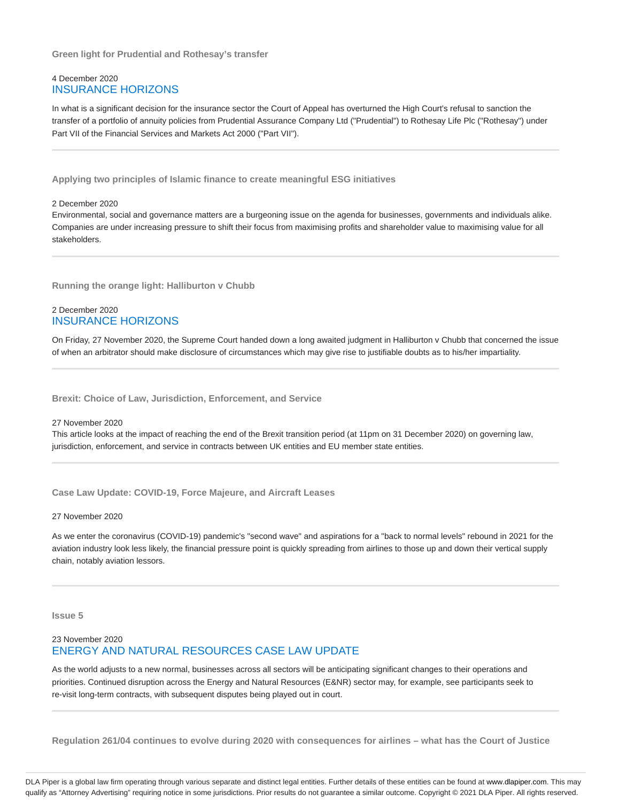**Green light for Prudential and Rothesay's transfer**

# 4 December 2020 INSURANCE HORIZONS

In what is a significant decision for the insurance sector the Court of Appeal has overturned the High Court's refusal to sanction the transfer of a portfolio of annuity policies from Prudential Assurance Company Ltd ("Prudential") to Rothesay Life Plc ("Rothesay") under Part VII of the Financial Services and Markets Act 2000 ("Part VII").

**Applying two principles of Islamic finance to create meaningful ESG initiatives**

# 2 December 2020

Environmental, social and governance matters are a burgeoning issue on the agenda for businesses, governments and individuals alike. Companies are under increasing pressure to shift their focus from maximising profits and shareholder value to maximising value for all stakeholders.

**Running the orange light: Halliburton v Chubb**

# 2 December 2020 INSURANCE HORIZONS

On Friday, 27 November 2020, the Supreme Court handed down a long awaited judgment in Halliburton v Chubb that concerned the issue of when an arbitrator should make disclosure of circumstances which may give rise to justifiable doubts as to his/her impartiality.

**Brexit: Choice of Law, Jurisdiction, Enforcement, and Service**

#### 27 November 2020

This article looks at the impact of reaching the end of the Brexit transition period (at 11pm on 31 December 2020) on governing law, jurisdiction, enforcement, and service in contracts between UK entities and EU member state entities.

**Case Law Update: COVID-19, Force Majeure, and Aircraft Leases**

# 27 November 2020

As we enter the coronavirus (COVID-19) pandemic's "second wave" and aspirations for a "back to normal levels" rebound in 2021 for the aviation industry look less likely, the financial pressure point is quickly spreading from airlines to those up and down their vertical supply chain, notably aviation lessors.

**Issue 5**

# 23 November 2020 ENERGY AND NATURAL RESOURCES CASE LAW UPDATE

As the world adjusts to a new normal, businesses across all sectors will be anticipating significant changes to their operations and priorities. Continued disruption across the Energy and Natural Resources (E&NR) sector may, for example, see participants seek to re-visit long-term contracts, with subsequent disputes being played out in court.

**Regulation 261/04 continues to evolve during 2020 with consequences for airlines – what has the Court of Justice**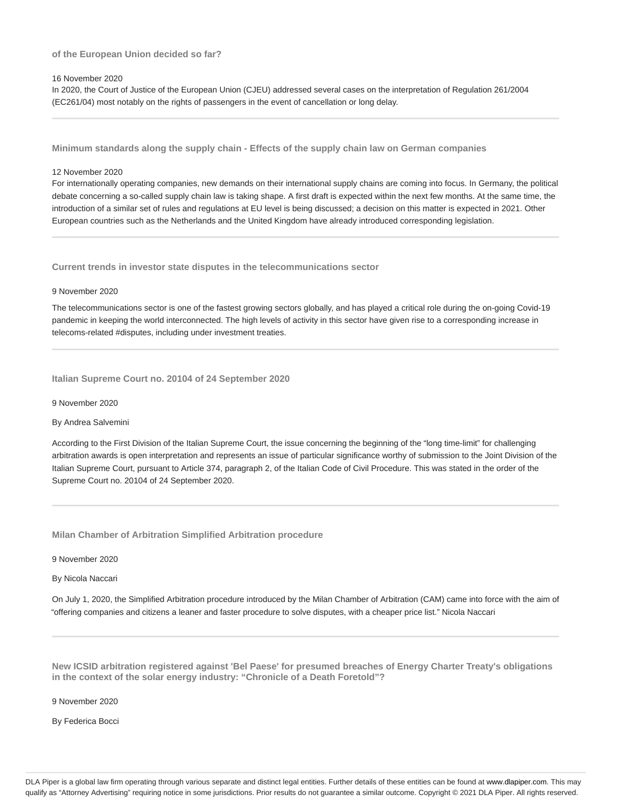# **of the European Union decided so far?**

# 16 November 2020

In 2020, the Court of Justice of the European Union (CJEU) addressed several cases on the interpretation of Regulation 261/2004 (EC261/04) most notably on the rights of passengers in the event of cancellation or long delay.

**Minimum standards along the supply chain - Effects of the supply chain law on German companies**

#### 12 November 2020

For internationally operating companies, new demands on their international supply chains are coming into focus. In Germany, the political debate concerning a so-called supply chain law is taking shape. A first draft is expected within the next few months. At the same time, the introduction of a similar set of rules and regulations at EU level is being discussed; a decision on this matter is expected in 2021. Other European countries such as the Netherlands and the United Kingdom have already introduced corresponding legislation.

**Current trends in investor state disputes in the telecommunications sector**

#### 9 November 2020

The telecommunications sector is one of the fastest growing sectors globally, and has played a critical role during the on-going Covid-19 pandemic in keeping the world interconnected. The high levels of activity in this sector have given rise to a corresponding increase in telecoms-related #disputes, including under investment treaties.

**Italian Supreme Court no. 20104 of 24 September 2020**

9 November 2020

# By Andrea Salvemini

According to the First Division of the Italian Supreme Court, the issue concerning the beginning of the "long time-limit" for challenging arbitration awards is open interpretation and represents an issue of particular significance worthy of submission to the Joint Division of the Italian Supreme Court, pursuant to Article 374, paragraph 2, of the Italian Code of Civil Procedure. This was stated in the order of the Supreme Court no. 20104 of 24 September 2020.

**Milan Chamber of Arbitration Simplified Arbitration procedure**

# 9 November 2020

## By Nicola Naccari

On July 1, 2020, the Simplified Arbitration procedure introduced by the Milan Chamber of Arbitration (CAM) came into force with the aim of "offering companies and citizens a leaner and faster procedure to solve disputes, with a cheaper price list." Nicola Naccari

**New ICSID arbitration registered against 'Bel Paese' for presumed breaches of Energy Charter Treaty's obligations in the context of the solar energy industry: "Chronicle of a Death Foretold"?**

9 November 2020

By Federica Bocci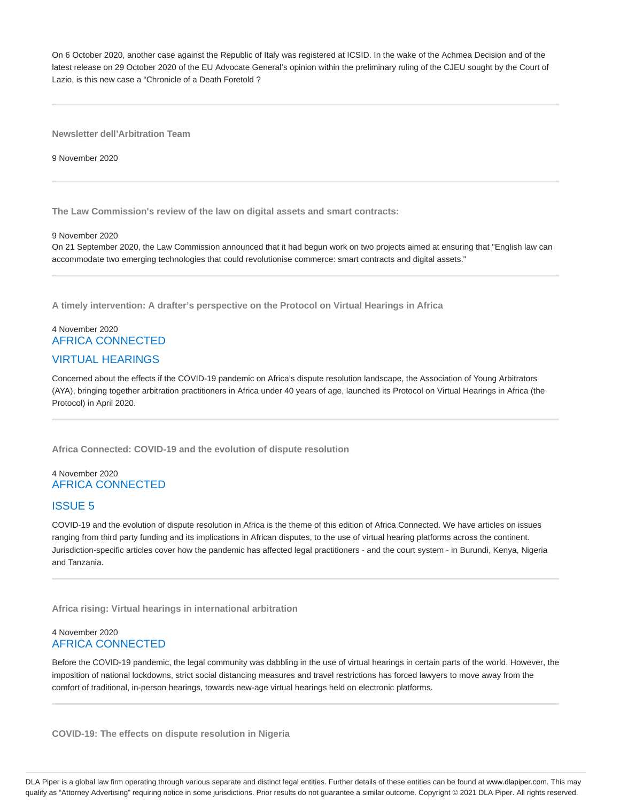On 6 October 2020, another case against the Republic of Italy was registered at ICSID. In the wake of the Achmea Decision and of the latest release on 29 October 2020 of the EU Advocate General's opinion within the preliminary ruling of the CJEU sought by the Court of Lazio, is this new case a "Chronicle of a Death Foretold ?

**Newsletter dell'Arbitration Team**

9 November 2020

**The Law Commission's review of the law on digital assets and smart contracts:**

## 9 November 2020

On 21 September 2020, the Law Commission announced that it had begun work on two projects aimed at ensuring that "English law can accommodate two emerging technologies that could revolutionise commerce: smart contracts and digital assets."

**A timely intervention: A drafter's perspective on the Protocol on Virtual Hearings in Africa**

# 4 November 2020 AFRICA CONNECTED VIRTUAL HEARINGS

Concerned about the effects if the COVID-19 pandemic on Africa's dispute resolution landscape, the Association of Young Arbitrators (AYA), bringing together arbitration practitioners in Africa under 40 years of age, launched its Protocol on Virtual Hearings in Africa (the Protocol) in April 2020.

**Africa Connected: COVID-19 and the evolution of dispute resolution**

# 4 November 2020 AFRICA CONNECTED

# ISSUE 5

COVID-19 and the evolution of dispute resolution in Africa is the theme of this edition of Africa Connected. We have articles on issues ranging from third party funding and its implications in African disputes, to the use of virtual hearing platforms across the continent. Jurisdiction-specific articles cover how the pandemic has affected legal practitioners - and the court system - in Burundi, Kenya, Nigeria and Tanzania.

**Africa rising: Virtual hearings in international arbitration**

# 4 November 2020 AFRICA CONNECTED

Before the COVID-19 pandemic, the legal community was dabbling in the use of virtual hearings in certain parts of the world. However, the imposition of national lockdowns, strict social distancing measures and travel restrictions has forced lawyers to move away from the comfort of traditional, in-person hearings, towards new-age virtual hearings held on electronic platforms.

**COVID-19: The effects on dispute resolution in Nigeria**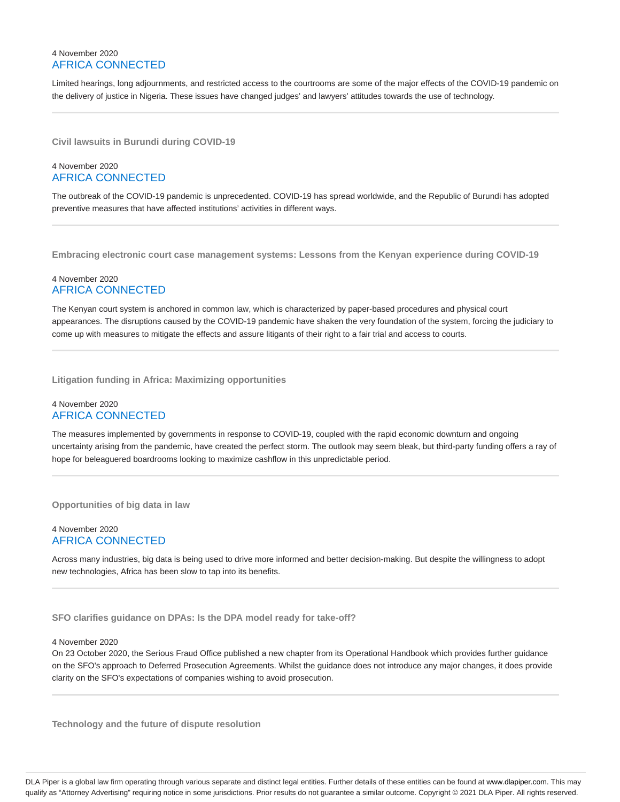# 4 November 2020 AFRICA CONNECTED

Limited hearings, long adjournments, and restricted access to the courtrooms are some of the major effects of the COVID-19 pandemic on the delivery of justice in Nigeria. These issues have changed judges' and lawyers' attitudes towards the use of technology.

**Civil lawsuits in Burundi during COVID-19**

# 4 November 2020 AFRICA CONNECTED

The outbreak of the COVID-19 pandemic is unprecedented. COVID-19 has spread worldwide, and the Republic of Burundi has adopted preventive measures that have affected institutions' activities in different ways.

**Embracing electronic court case management systems: Lessons from the Kenyan experience during COVID-19**

# 4 November 2020 AFRICA CONNECTED

The Kenyan court system is anchored in common law, which is characterized by paper-based procedures and physical court appearances. The disruptions caused by the COVID-19 pandemic have shaken the very foundation of the system, forcing the judiciary to come up with measures to mitigate the effects and assure litigants of their right to a fair trial and access to courts.

**Litigation funding in Africa: Maximizing opportunities**

# 4 November 2020 AFRICA CONNECTED

The measures implemented by governments in response to COVID-19, coupled with the rapid economic downturn and ongoing uncertainty arising from the pandemic, have created the perfect storm. The outlook may seem bleak, but third-party funding offers a ray of hope for beleaguered boardrooms looking to maximize cashflow in this unpredictable period.

**Opportunities of big data in law**

# 4 November 2020 AFRICA CONNECTED

Across many industries, big data is being used to drive more informed and better decision-making. But despite the willingness to adopt new technologies, Africa has been slow to tap into its benefits.

**SFO clarifies guidance on DPAs: Is the DPA model ready for take-off?**

# 4 November 2020

On 23 October 2020, the Serious Fraud Office published a new chapter from its Operational Handbook which provides further guidance on the SFO's approach to Deferred Prosecution Agreements. Whilst the guidance does not introduce any major changes, it does provide clarity on the SFO's expectations of companies wishing to avoid prosecution.

**Technology and the future of dispute resolution**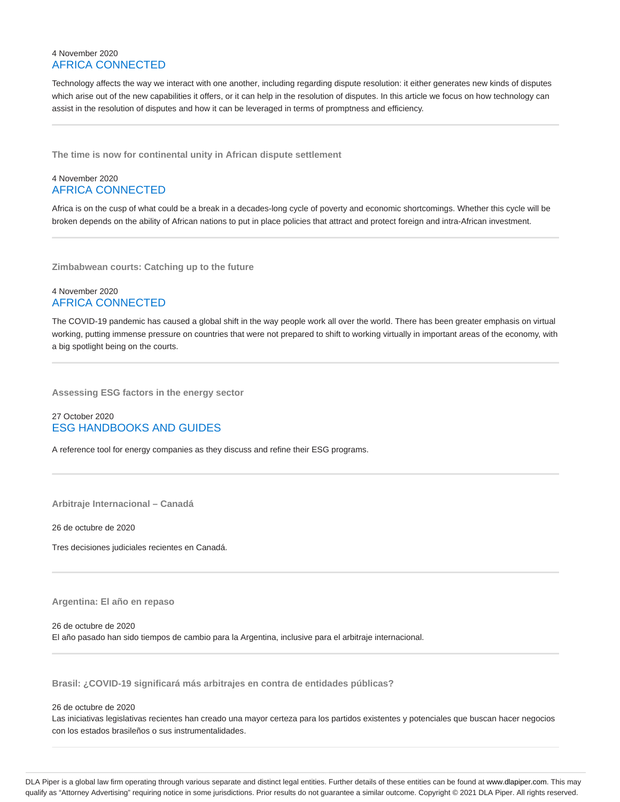# 4 November 2020 AFRICA CONNECTED

Technology affects the way we interact with one another, including regarding dispute resolution: it either generates new kinds of disputes which arise out of the new capabilities it offers, or it can help in the resolution of disputes. In this article we focus on how technology can assist in the resolution of disputes and how it can be leveraged in terms of promptness and efficiency.

**The time is now for continental unity in African dispute settlement**

# 4 November 2020 AFRICA CONNECTED

Africa is on the cusp of what could be a break in a decades-long cycle of poverty and economic shortcomings. Whether this cycle will be broken depends on the ability of African nations to put in place policies that attract and protect foreign and intra-African investment.

**Zimbabwean courts: Catching up to the future**

# 4 November 2020 AFRICA CONNECTED

The COVID-19 pandemic has caused a global shift in the way people work all over the world. There has been greater emphasis on virtual working, putting immense pressure on countries that were not prepared to shift to working virtually in important areas of the economy, with a big spotlight being on the courts.

**Assessing ESG factors in the energy sector**

# 27 October 2020 ESG HANDBOOKS AND GUIDES

A reference tool for energy companies as they discuss and refine their ESG programs.

**Arbitraje Internacional – Canadá**

26 de octubre de 2020

Tres decisiones judiciales recientes en Canadá.

# **Argentina: El año en repaso**

26 de octubre de 2020

El año pasado han sido tiempos de cambio para la Argentina, inclusive para el arbitraje internacional.

**Brasil: ¿COVID-19 significará más arbitrajes en contra de entidades públicas?**

# 26 de octubre de 2020

Las iniciativas legislativas recientes han creado una mayor certeza para los partidos existentes y potenciales que buscan hacer negocios con los estados brasileños o sus instrumentalidades.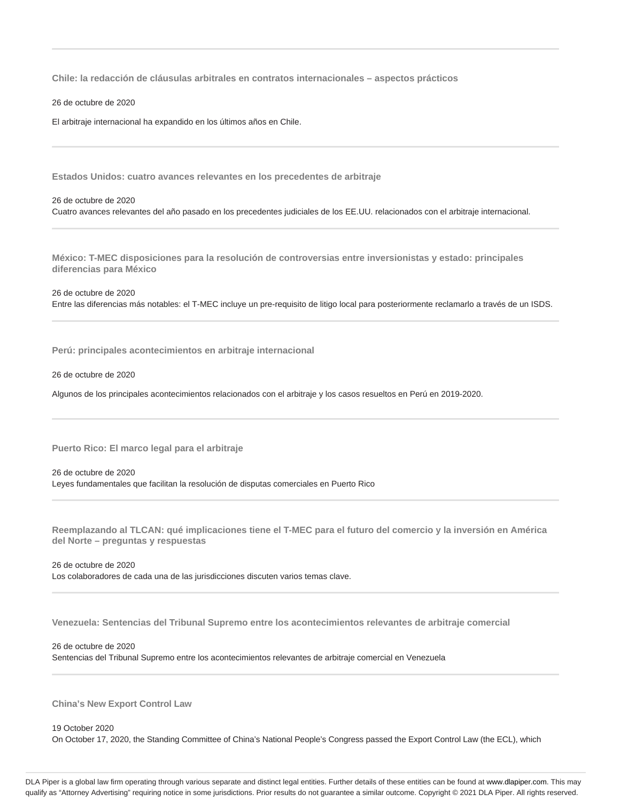**Chile: la redacción de cláusulas arbitrales en contratos internacionales – aspectos prácticos**

26 de octubre de 2020

El arbitraje internacional ha expandido en los últimos años en Chile.

**Estados Unidos: cuatro avances relevantes en los precedentes de arbitraje**

# 26 de octubre de 2020 Cuatro avances relevantes del año pasado en los precedentes judiciales de los EE.UU. relacionados con el arbitraje internacional.

**México: T-MEC disposiciones para la resolución de controversias entre inversionistas y estado: principales diferencias para México**

26 de octubre de 2020 Entre las diferencias más notables: el T-MEC incluye un pre-requisito de litigo local para posteriormente reclamarlo a través de un ISDS.

**Perú: principales acontecimientos en arbitraje internacional**

26 de octubre de 2020

Algunos de los principales acontecimientos relacionados con el arbitraje y los casos resueltos en Perú en 2019-2020.

**Puerto Rico: El marco legal para el arbitraje**

26 de octubre de 2020 Leyes fundamentales que facilitan la resolución de disputas comerciales en Puerto Rico

**Reemplazando al TLCAN: qué implicaciones tiene el T-MEC para el futuro del comercio y la inversión en América del Norte – preguntas y respuestas**

26 de octubre de 2020 Los colaboradores de cada una de las jurisdicciones discuten varios temas clave.

**Venezuela: Sentencias del Tribunal Supremo entre los acontecimientos relevantes de arbitraje comercial**

26 de octubre de 2020 Sentencias del Tribunal Supremo entre los acontecimientos relevantes de arbitraje comercial en Venezuela

**China's New Export Control Law**

19 October 2020 On October 17, 2020, the Standing Committee of China's National People's Congress passed the Export Control Law (the ECL), which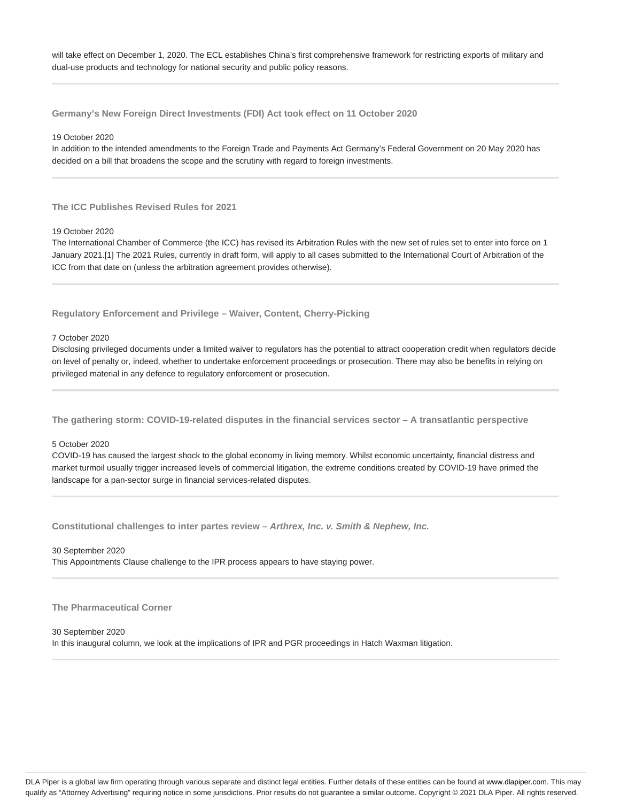will take effect on December 1, 2020. The ECL establishes China's first comprehensive framework for restricting exports of military and dual-use products and technology for national security and public policy reasons.

**Germany's New Foreign Direct Investments (FDI) Act took effect on 11 October 2020**

19 October 2020

In addition to the intended amendments to the Foreign Trade and Payments Act Germany's Federal Government on 20 May 2020 has decided on a bill that broadens the scope and the scrutiny with regard to foreign investments.

**The ICC Publishes Revised Rules for 2021**

19 October 2020

The International Chamber of Commerce (the ICC) has revised its Arbitration Rules with the new set of rules set to enter into force on 1 January 2021.[1] The 2021 Rules, currently in draft form, will apply to all cases submitted to the International Court of Arbitration of the ICC from that date on (unless the arbitration agreement provides otherwise).

**Regulatory Enforcement and Privilege – Waiver, Content, Cherry-Picking**

7 October 2020

Disclosing privileged documents under a limited waiver to regulators has the potential to attract cooperation credit when regulators decide on level of penalty or, indeed, whether to undertake enforcement proceedings or prosecution. There may also be benefits in relying on privileged material in any defence to regulatory enforcement or prosecution.

**The gathering storm: COVID-19-related disputes in the financial services sector – A transatlantic perspective**

# 5 October 2020

COVID-19 has caused the largest shock to the global economy in living memory. Whilst economic uncertainty, financial distress and market turmoil usually trigger increased levels of commercial litigation, the extreme conditions created by COVID-19 have primed the landscape for a pan-sector surge in financial services-related disputes.

**Constitutional challenges to inter partes review – Arthrex, Inc. v. Smith & Nephew, Inc.**

30 September 2020

This Appointments Clause challenge to the IPR process appears to have staying power.

**The Pharmaceutical Corner**

30 September 2020

In this inaugural column, we look at the implications of IPR and PGR proceedings in Hatch Waxman litigation.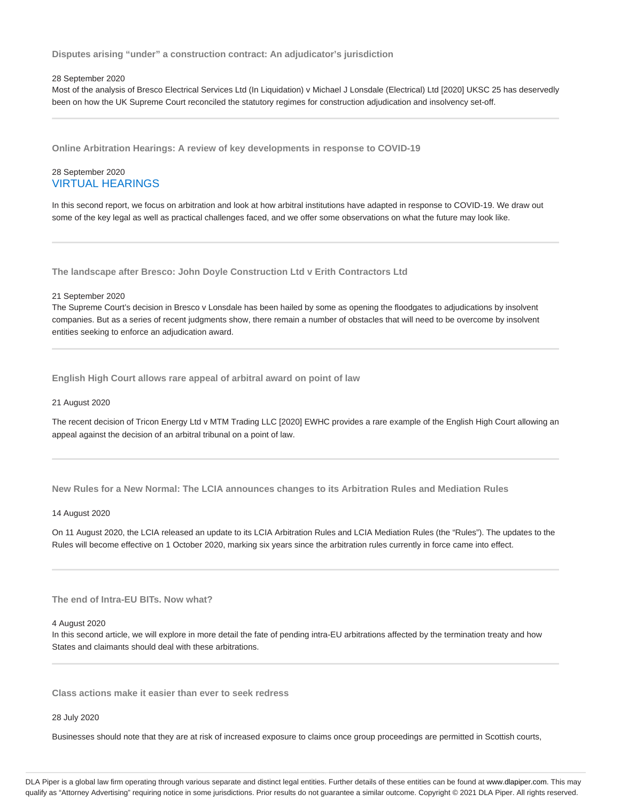**Disputes arising "under" a construction contract: An adjudicator's jurisdiction**

# 28 September 2020

Most of the analysis of Bresco Electrical Services Ltd (In Liquidation) v Michael J Lonsdale (Electrical) Ltd [2020] UKSC 25 has deservedly been on how the UK Supreme Court reconciled the statutory regimes for construction adjudication and insolvency set-off.

**Online Arbitration Hearings: A review of key developments in response to COVID-19**

# 28 September 2020 VIRTUAL HEARINGS

In this second report, we focus on arbitration and look at how arbitral institutions have adapted in response to COVID-19. We draw out some of the key legal as well as practical challenges faced, and we offer some observations on what the future may look like.

**The landscape after Bresco: John Doyle Construction Ltd v Erith Contractors Ltd**

#### 21 September 2020

The Supreme Court's decision in Bresco v Lonsdale has been hailed by some as opening the floodgates to adjudications by insolvent companies. But as a series of recent judgments show, there remain a number of obstacles that will need to be overcome by insolvent entities seeking to enforce an adjudication award.

**English High Court allows rare appeal of arbitral award on point of law**

# 21 August 2020

The recent decision of Tricon Energy Ltd v MTM Trading LLC [2020] EWHC provides a rare example of the English High Court allowing an appeal against the decision of an arbitral tribunal on a point of law.

**New Rules for a New Normal: The LCIA announces changes to its Arbitration Rules and Mediation Rules**

#### 14 August 2020

On 11 August 2020, the LCIA released an update to its LCIA Arbitration Rules and LCIA Mediation Rules (the "Rules"). The updates to the Rules will become effective on 1 October 2020, marking six years since the arbitration rules currently in force came into effect.

# **The end of Intra-EU BITs. Now what?**

# 4 August 2020

In this second article, we will explore in more detail the fate of pending intra-EU arbitrations affected by the termination treaty and how States and claimants should deal with these arbitrations.

**Class actions make it easier than ever to seek redress**

#### 28 July 2020

Businesses should note that they are at risk of increased exposure to claims once group proceedings are permitted in Scottish courts,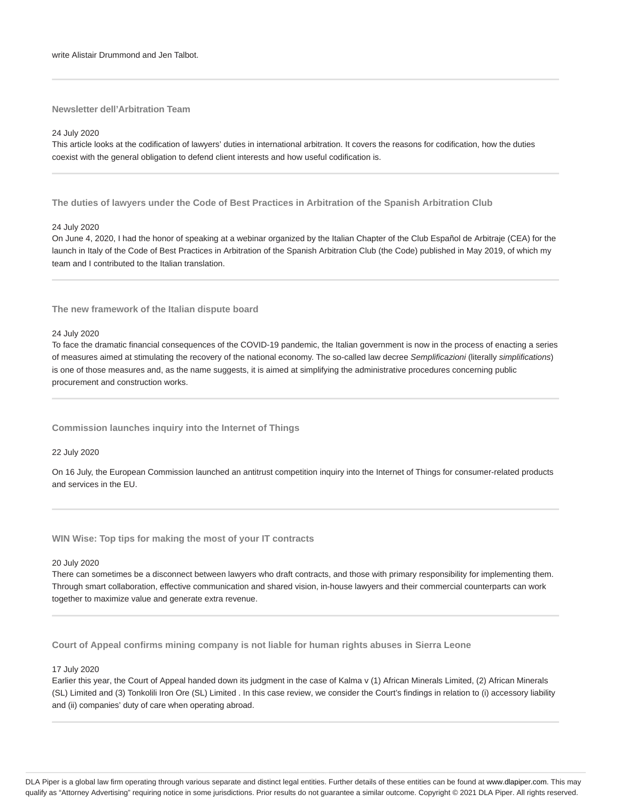#### **Newsletter dell'Arbitration Team**

# 24 July 2020

This article looks at the codification of lawyers' duties in international arbitration. It covers the reasons for codification, how the duties coexist with the general obligation to defend client interests and how useful codification is.

**The duties of lawyers under the Code of Best Practices in Arbitration of the Spanish Arbitration Club**

# 24 July 2020

On June 4, 2020, I had the honor of speaking at a webinar organized by the Italian Chapter of the Club Español de Arbitraje (CEA) for the launch in Italy of the Code of Best Practices in Arbitration of the Spanish Arbitration Club (the Code) published in May 2019, of which my team and I contributed to the Italian translation.

## **The new framework of the Italian dispute board**

#### 24 July 2020

To face the dramatic financial consequences of the COVID-19 pandemic, the Italian government is now in the process of enacting a series of measures aimed at stimulating the recovery of the national economy. The so-called law decree Semplificazioni (literally simplifications) is one of those measures and, as the name suggests, it is aimed at simplifying the administrative procedures concerning public procurement and construction works.

# **Commission launches inquiry into the Internet of Things**

# 22 July 2020

On 16 July, the European Commission launched an antitrust competition inquiry into the Internet of Things for consumer-related products and services in the EU.

**WIN Wise: Top tips for making the most of your IT contracts**

# 20 July 2020

There can sometimes be a disconnect between lawyers who draft contracts, and those with primary responsibility for implementing them. Through smart collaboration, effective communication and shared vision, in-house lawyers and their commercial counterparts can work together to maximize value and generate extra revenue.

**Court of Appeal confirms mining company is not liable for human rights abuses in Sierra Leone**

# 17 July 2020

Earlier this year, the Court of Appeal handed down its judgment in the case of Kalma v (1) African Minerals Limited, (2) African Minerals (SL) Limited and (3) Tonkolili Iron Ore (SL) Limited . In this case review, we consider the Court's findings in relation to (i) accessory liability and (ii) companies' duty of care when operating abroad.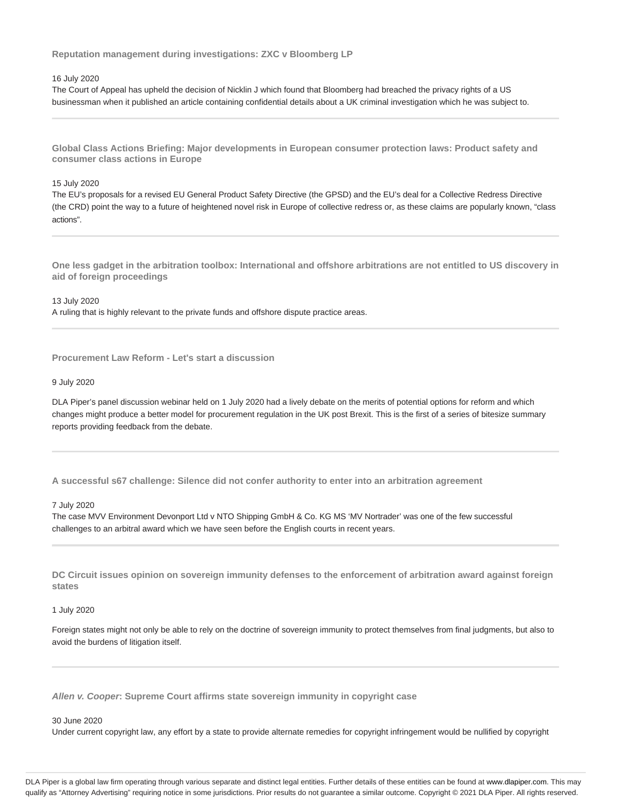**Reputation management during investigations: ZXC v Bloomberg LP**

# 16 July 2020

The Court of Appeal has upheld the decision of Nicklin J which found that Bloomberg had breached the privacy rights of a US businessman when it published an article containing confidential details about a UK criminal investigation which he was subject to.

**Global Class Actions Briefing: Major developments in European consumer protection laws: Product safety and consumer class actions in Europe**

# 15 July 2020

The EU's proposals for a revised EU General Product Safety Directive (the GPSD) and the EU's deal for a Collective Redress Directive (the CRD) point the way to a future of heightened novel risk in Europe of collective redress or, as these claims are popularly known, "class actions".

**One less gadget in the arbitration toolbox: International and offshore arbitrations are not entitled to US discovery in aid of foreign proceedings**

13 July 2020 A ruling that is highly relevant to the private funds and offshore dispute practice areas.

**Procurement Law Reform - Let's start a discussion**

# 9 July 2020

DLA Piper's panel discussion webinar held on 1 July 2020 had a lively debate on the merits of potential options for reform and which changes might produce a better model for procurement regulation in the UK post Brexit. This is the first of a series of bitesize summary reports providing feedback from the debate.

**A successful s67 challenge: Silence did not confer authority to enter into an arbitration agreement**

#### 7 July 2020

The case MVV Environment Devonport Ltd v NTO Shipping GmbH & Co. KG MS 'MV Nortrader' was one of the few successful challenges to an arbitral award which we have seen before the English courts in recent years.

**DC Circuit issues opinion on sovereign immunity defenses to the enforcement of arbitration award against foreign states**

#### 1 July 2020

Foreign states might not only be able to rely on the doctrine of sovereign immunity to protect themselves from final judgments, but also to avoid the burdens of litigation itself.

**Allen v. Cooper: Supreme Court affirms state sovereign immunity in copyright case**

#### 30 June 2020

Under current copyright law, any effort by a state to provide alternate remedies for copyright infringement would be nullified by copyright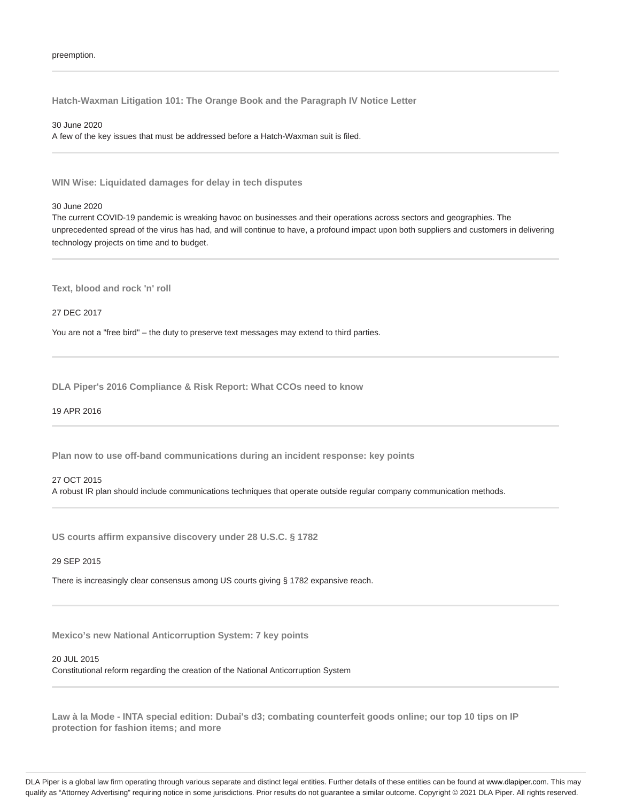**Hatch-Waxman Litigation 101: The Orange Book and the Paragraph IV Notice Letter**

30 June 2020 A few of the key issues that must be addressed before a Hatch-Waxman suit is filed.

**WIN Wise: Liquidated damages for delay in tech disputes**

# 30 June 2020

The current COVID-19 pandemic is wreaking havoc on businesses and their operations across sectors and geographies. The unprecedented spread of the virus has had, and will continue to have, a profound impact upon both suppliers and customers in delivering technology projects on time and to budget.

**Text, blood and rock 'n' roll**

27 DEC 2017

You are not a "free bird" – the duty to preserve text messages may extend to third parties.

**DLA Piper's 2016 Compliance & Risk Report: What CCOs need to know**

19 APR 2016

**Plan now to use off-band communications during an incident response: key points**

# 27 OCT 2015

A robust IR plan should include communications techniques that operate outside regular company communication methods.

**US courts affirm expansive discovery under 28 U.S.C. § 1782**

# 29 SEP 2015

There is increasingly clear consensus among US courts giving § 1782 expansive reach.

**Mexico's new National Anticorruption System: 7 key points**

20 JUL 2015

Constitutional reform regarding the creation of the National Anticorruption System

**Law à la Mode - INTA special edition: Dubai's d3; combating counterfeit goods online; our top 10 tips on IP protection for fashion items; and more**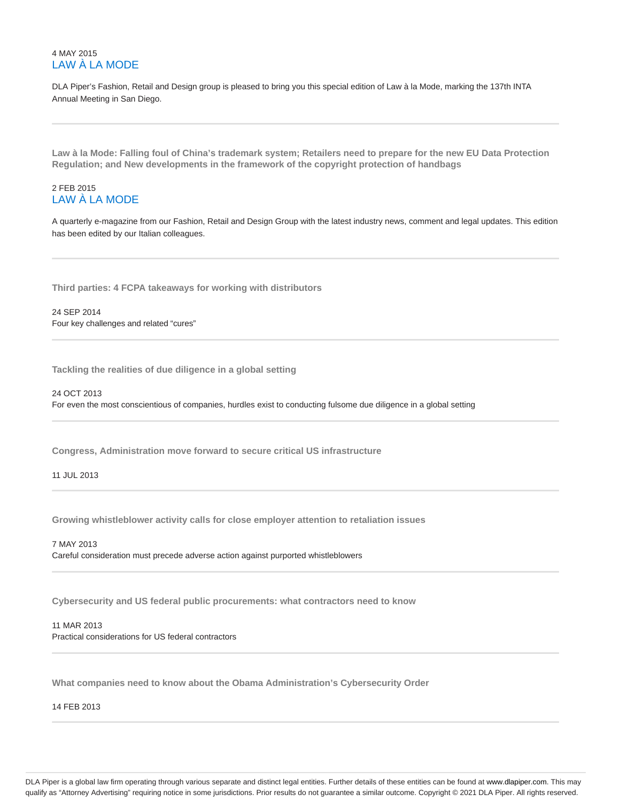# 4 MAY 2015 LAW À LA MODE

DLA Piper's Fashion, Retail and Design group is pleased to bring you this special edition of Law à la Mode, marking the 137th INTA Annual Meeting in San Diego.

**Law à la Mode: Falling foul of China's trademark system; Retailers need to prepare for the new EU Data Protection Regulation; and New developments in the framework of the copyright protection of handbags**

# 2 FEB 2015 LAW À LA MODE

A quarterly e-magazine from our Fashion, Retail and Design Group with the latest industry news, comment and legal updates. This edition has been edited by our Italian colleagues.

**Third parties: 4 FCPA takeaways for working with distributors**

24 SEP 2014 Four key challenges and related "cures"

**Tackling the realities of due diligence in a global setting**

24 OCT 2013 For even the most conscientious of companies, hurdles exist to conducting fulsome due diligence in a global setting

**Congress, Administration move forward to secure critical US infrastructure**

11 JUL 2013

**Growing whistleblower activity calls for close employer attention to retaliation issues**

7 MAY 2013 Careful consideration must precede adverse action against purported whistleblowers

**Cybersecurity and US federal public procurements: what contractors need to know**

11 MAR 2013 Practical considerations for US federal contractors

**What companies need to know about the Obama Administration's Cybersecurity Order**

14 FEB 2013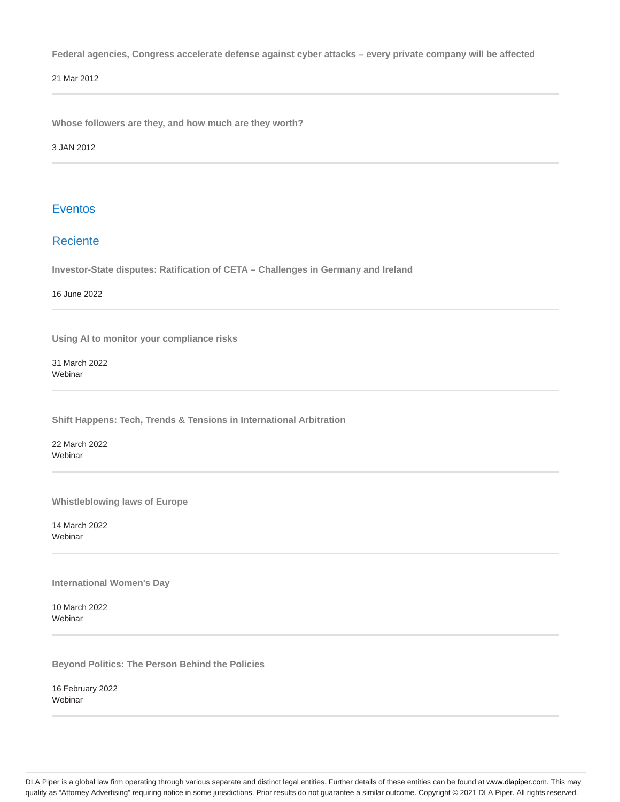**Federal agencies, Congress accelerate defense against cyber attacks – every private company will be affected**

21 Mar 2012

**Whose followers are they, and how much are they worth?**

3 JAN 2012

# Eventos

# Reciente

**Investor-State disputes: Ratification of CETA – Challenges in Germany and Ireland**

16 June 2022

**Using AI to monitor your compliance risks**

31 March 2022 Webinar

**Shift Happens: Tech, Trends & Tensions in International Arbitration**

22 March 2022 Webinar

**Whistleblowing laws of Europe**

14 March 2022 **Webinar** 

**International Women's Day**

10 March 2022 Webinar

**Beyond Politics: The Person Behind the Policies**

16 February 2022 Webinar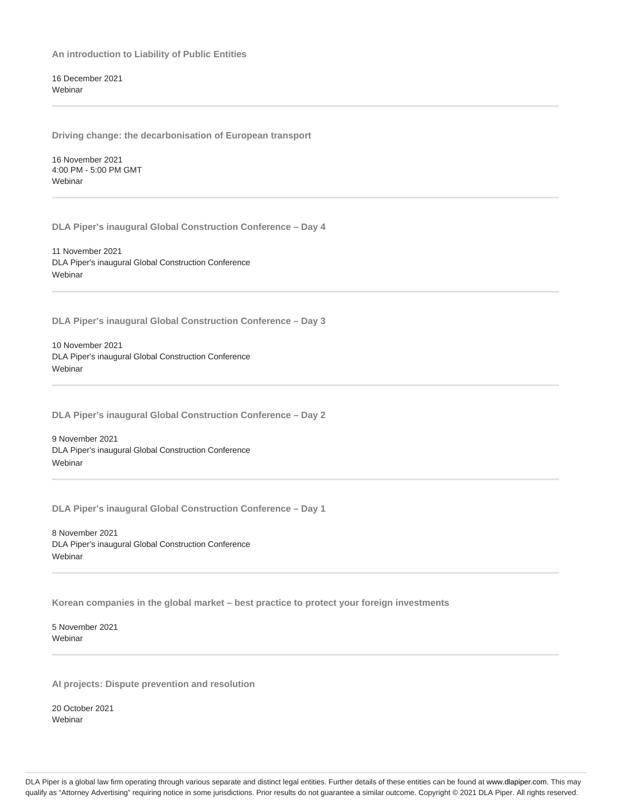**An introduction to Liability of Public Entities**

16 December 2021 Webinar

**Driving change: the decarbonisation of European transport**

16 November 2021 4:00 PM - 5:00 PM GMT **Webinar** 

**DLA Piper's inaugural Global Construction Conference – Day 4**

11 November 2021 DLA Piper's inaugural Global Construction Conference **Webinar** 

**DLA Piper's inaugural Global Construction Conference – Day 3**

10 November 2021 DLA Piper's inaugural Global Construction Conference Webinar

**DLA Piper's inaugural Global Construction Conference – Day 2**

9 November 2021 DLA Piper's inaugural Global Construction Conference **Webinar** 

**DLA Piper's inaugural Global Construction Conference – Day 1**

8 November 2021 DLA Piper's inaugural Global Construction Conference **Webinar** 

**Korean companies in the global market – best practice to protect your foreign investments**

5 November 2021 Webinar

**AI projects: Dispute prevention and resolution**

20 October 2021 **Webinar**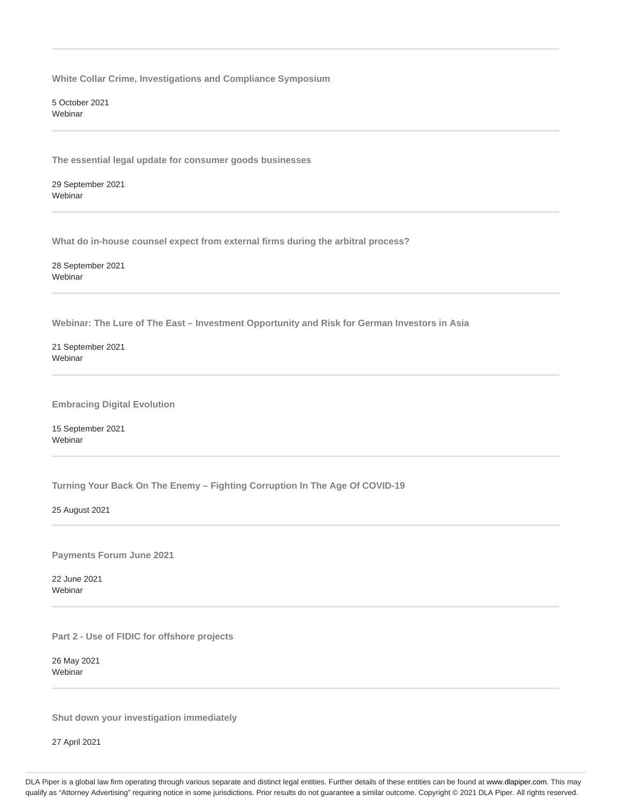**White Collar Crime, Investigations and Compliance Symposium**

5 October 2021 Webinar

**The essential legal update for consumer goods businesses**

29 September 2021 Webinar

**What do in-house counsel expect from external firms during the arbitral process?**

28 September 2021 Webinar

**Webinar: The Lure of The East – Investment Opportunity and Risk for German Investors in Asia**

21 September 2021 **Webinar** 

**Embracing Digital Evolution**

15 September 2021 **Webinar** 

**Turning Your Back On The Enemy – Fighting Corruption In The Age Of COVID-19**

25 August 2021

**Payments Forum June 2021**

22 June 2021 **Webinar** 

**Part 2 - Use of FIDIC for offshore projects**

26 May 2021 Webinar

**Shut down your investigation immediately**

27 April 2021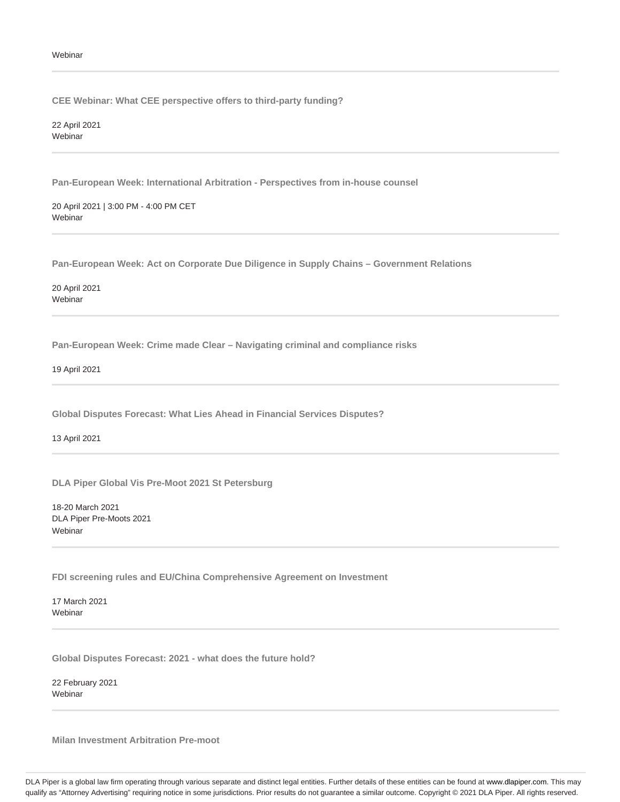**CEE Webinar: What CEE perspective offers to third-party funding?**

22 April 2021 Webinar

**Pan-European Week: International Arbitration - Perspectives from in-house counsel**

20 April 2021 | 3:00 PM - 4:00 PM CET Webinar

**Pan-European Week: Act on Corporate Due Diligence in Supply Chains – Government Relations**

20 April 2021 **Webinar** 

**Pan-European Week: Crime made Clear – Navigating criminal and compliance risks**

19 April 2021

**Global Disputes Forecast: What Lies Ahead in Financial Services Disputes?**

13 April 2021

**DLA Piper Global Vis Pre-Moot 2021 St Petersburg**

18-20 March 2021 DLA Piper Pre-Moots 2021 **Webinar** 

**FDI screening rules and EU/China Comprehensive Agreement on Investment**

17 March 2021 Webinar

**Global Disputes Forecast: 2021 - what does the future hold?**

22 February 2021 Webinar

**Milan Investment Arbitration Pre-moot**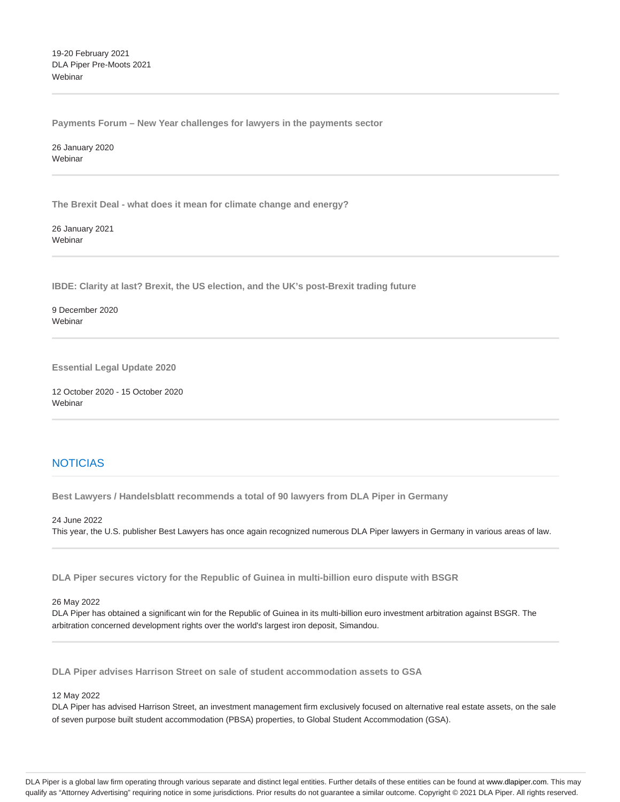19-20 February 2021 DLA Piper Pre-Moots 2021 Webinar

**Payments Forum – New Year challenges for lawyers in the payments sector**

26 January 2020 Webinar

**The Brexit Deal - what does it mean for climate change and energy?**

26 January 2021 **Webinar** 

**IBDE: Clarity at last? Brexit, the US election, and the UK's post-Brexit trading future**

9 December 2020 Webinar

**Essential Legal Update 2020**

12 October 2020 - 15 October 2020 Webinar

# **NOTICIAS**

**Best Lawyers / Handelsblatt recommends a total of 90 lawyers from DLA Piper in Germany**

24 June 2022 This year, the U.S. publisher Best Lawyers has once again recognized numerous DLA Piper lawyers in Germany in various areas of law.

**DLA Piper secures victory for the Republic of Guinea in multi-billion euro dispute with BSGR**

# 26 May 2022

DLA Piper has obtained a significant win for the Republic of Guinea in its multi-billion euro investment arbitration against BSGR. The arbitration concerned development rights over the world's largest iron deposit, Simandou.

**DLA Piper advises Harrison Street on sale of student accommodation assets to GSA**

# 12 May 2022

DLA Piper has advised Harrison Street, an investment management firm exclusively focused on alternative real estate assets, on the sale of seven purpose built student accommodation (PBSA) properties, to Global Student Accommodation (GSA).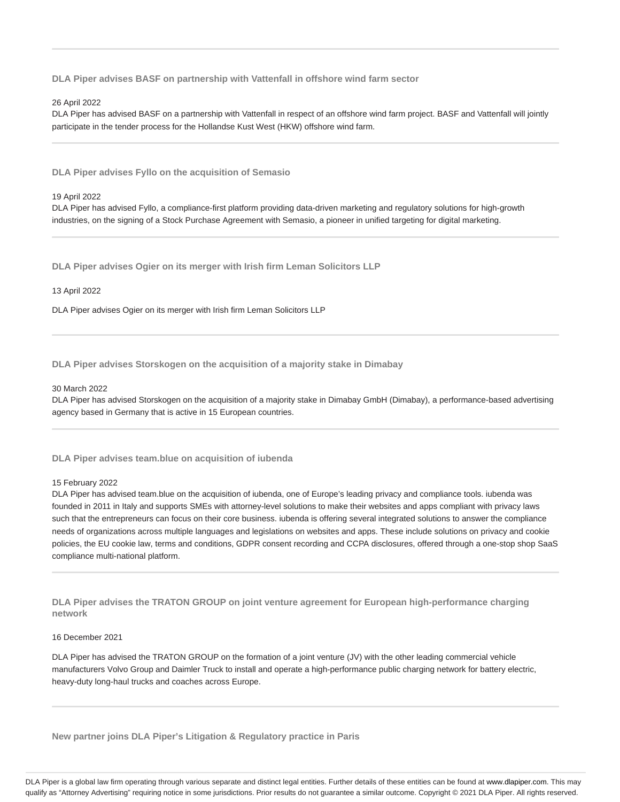**DLA Piper advises BASF on partnership with Vattenfall in offshore wind farm sector**

# 26 April 2022

DLA Piper has advised BASF on a partnership with Vattenfall in respect of an offshore wind farm project. BASF and Vattenfall will jointly participate in the tender process for the Hollandse Kust West (HKW) offshore wind farm.

**DLA Piper advises Fyllo on the acquisition of Semasio**

#### 19 April 2022

DLA Piper has advised Fyllo, a compliance-first platform providing data-driven marketing and regulatory solutions for high-growth industries, on the signing of a Stock Purchase Agreement with Semasio, a pioneer in unified targeting for digital marketing.

**DLA Piper advises Ogier on its merger with Irish firm Leman Solicitors LLP**

# 13 April 2022

DLA Piper advises Ogier on its merger with Irish firm Leman Solicitors LLP

**DLA Piper advises Storskogen on the acquisition of a majority stake in Dimabay**

# 30 March 2022

DLA Piper has advised Storskogen on the acquisition of a majority stake in Dimabay GmbH (Dimabay), a performance-based advertising agency based in Germany that is active in 15 European countries.

**DLA Piper advises team.blue on acquisition of iubenda**

#### 15 February 2022

DLA Piper has advised team.blue on the acquisition of iubenda, one of Europe's leading privacy and compliance tools. iubenda was founded in 2011 in Italy and supports SMEs with attorney-level solutions to make their websites and apps compliant with privacy laws such that the entrepreneurs can focus on their core business. iubenda is offering several integrated solutions to answer the compliance needs of organizations across multiple languages and legislations on websites and apps. These include solutions on privacy and cookie policies, the EU cookie law, terms and conditions, GDPR consent recording and CCPA disclosures, offered through a one-stop shop SaaS compliance multi-national platform.

**DLA Piper advises the TRATON GROUP on joint venture agreement for European high-performance charging network**

16 December 2021

DLA Piper has advised the TRATON GROUP on the formation of a joint venture (JV) with the other leading commercial vehicle manufacturers Volvo Group and Daimler Truck to install and operate a high-performance public charging network for battery electric, heavy-duty long-haul trucks and coaches across Europe.

**New partner joins DLA Piper's Litigation & Regulatory practice in Paris**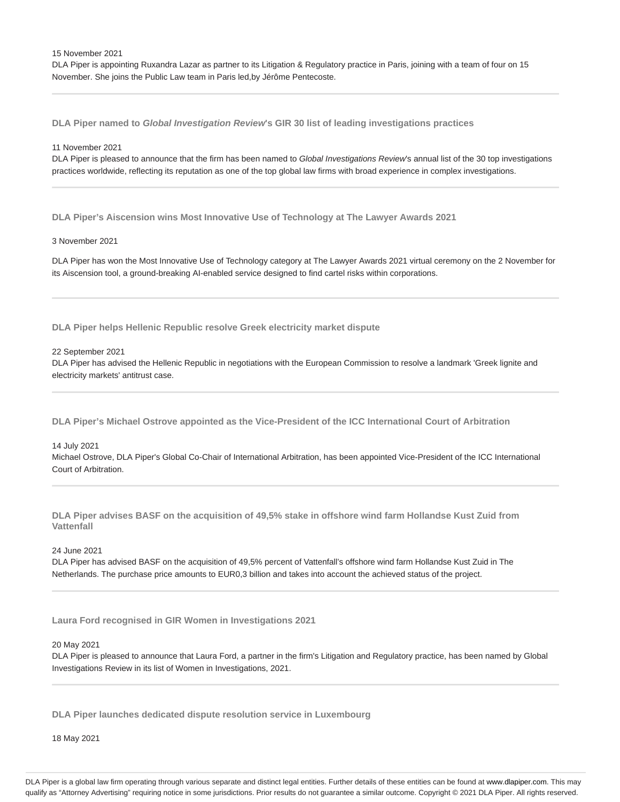15 November 2021

DLA Piper is appointing Ruxandra Lazar as partner to its Litigation & Regulatory practice in Paris, joining with a team of four on 15 November. She joins the Public Law team in Paris led,by Jérôme Pentecoste.

**DLA Piper named to Global Investigation Review's GIR 30 list of leading investigations practices**

#### 11 November 2021

DLA Piper is pleased to announce that the firm has been named to Global Investigations Review's annual list of the 30 top investigations practices worldwide, reflecting its reputation as one of the top global law firms with broad experience in complex investigations.

**DLA Piper's Aiscension wins Most Innovative Use of Technology at The Lawyer Awards 2021**

# 3 November 2021

DLA Piper has won the Most Innovative Use of Technology category at The Lawyer Awards 2021 virtual ceremony on the 2 November for its Aiscension tool, a ground-breaking AI-enabled service designed to find cartel risks within corporations.

**DLA Piper helps Hellenic Republic resolve Greek electricity market dispute**

## 22 September 2021

DLA Piper has advised the Hellenic Republic in negotiations with the European Commission to resolve a landmark 'Greek lignite and electricity markets' antitrust case.

**DLA Piper's Michael Ostrove appointed as the Vice-President of the ICC International Court of Arbitration**

#### 14 July 2021

Michael Ostrove, DLA Piper's Global Co-Chair of International Arbitration, has been appointed Vice-President of the ICC International Court of Arbitration.

**DLA Piper advises BASF on the acquisition of 49,5% stake in offshore wind farm Hollandse Kust Zuid from Vattenfall**

24 June 2021

DLA Piper has advised BASF on the acquisition of 49,5% percent of Vattenfall's offshore wind farm Hollandse Kust Zuid in The Netherlands. The purchase price amounts to EUR0,3 billion and takes into account the achieved status of the project.

**Laura Ford recognised in GIR Women in Investigations 2021**

# 20 May 2021

DLA Piper is pleased to announce that Laura Ford, a partner in the firm's Litigation and Regulatory practice, has been named by Global Investigations Review in its list of Women in Investigations, 2021.

**DLA Piper launches dedicated dispute resolution service in Luxembourg**

18 May 2021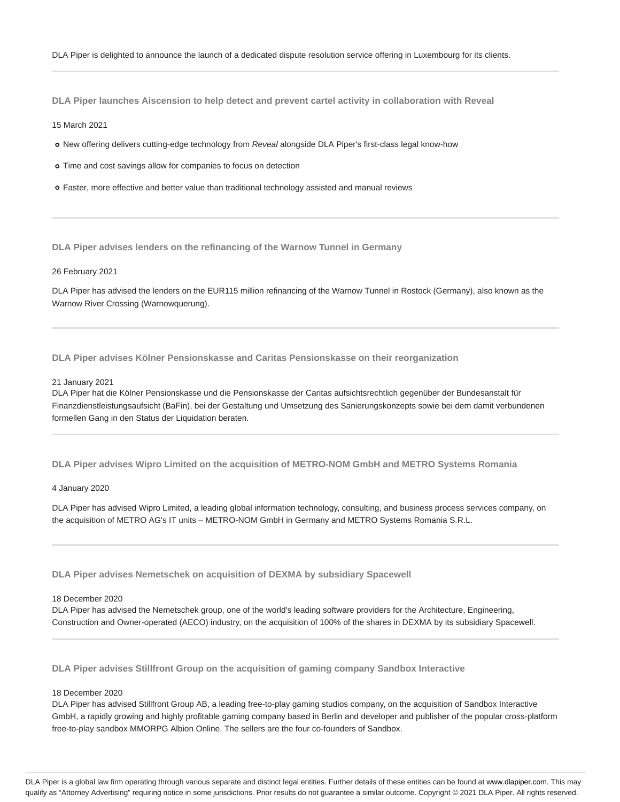**DLA Piper launches Aiscension to help detect and prevent cartel activity in collaboration with Reveal**

#### 15 March 2021

- o New offering delivers cutting-edge technology from Reveal alongside DLA Piper's first-class legal know-how
- Time and cost savings allow for companies to focus on detection
- Faster, more effective and better value than traditional technology assisted and manual reviews

**DLA Piper advises lenders on the refinancing of the Warnow Tunnel in Germany**

## 26 February 2021

DLA Piper has advised the lenders on the EUR115 million refinancing of the Warnow Tunnel in Rostock (Germany), also known as the Warnow River Crossing (Warnowquerung).

**DLA Piper advises Kölner Pensionskasse and Caritas Pensionskasse on their reorganization**

#### 21 January 2021

DLA Piper hat die Kölner Pensionskasse und die Pensionskasse der Caritas aufsichtsrechtlich gegenüber der Bundesanstalt für Finanzdienstleistungsaufsicht (BaFin), bei der Gestaltung und Umsetzung des Sanierungskonzepts sowie bei dem damit verbundenen formellen Gang in den Status der Liquidation beraten.

**DLA Piper advises Wipro Limited on the acquisition of METRO-NOM GmbH and METRO Systems Romania**

#### 4 January 2020

DLA Piper has advised Wipro Limited, a leading global information technology, consulting, and business process services company, on the acquisition of METRO AG's IT units – METRO-NOM GmbH in Germany and METRO Systems Romania S.R.L.

**DLA Piper advises Nemetschek on acquisition of DEXMA by subsidiary Spacewell**

#### 18 December 2020

DLA Piper has advised the Nemetschek group, one of the world's leading software providers for the Architecture, Engineering, Construction and Owner-operated (AECO) industry, on the acquisition of 100% of the shares in DEXMA by its subsidiary Spacewell.

**DLA Piper advises Stillfront Group on the acquisition of gaming company Sandbox Interactive**

# 18 December 2020

DLA Piper has advised Stillfront Group AB, a leading free-to-play gaming studios company, on the acquisition of Sandbox Interactive GmbH, a rapidly growing and highly profitable gaming company based in Berlin and developer and publisher of the popular cross-platform free-to-play sandbox MMORPG Albion Online. The sellers are the four co-founders of Sandbox.